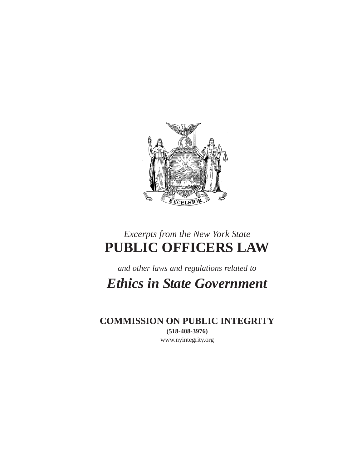

# *Excerpts from the New York State* **PUBLIC OFFICERS LAW**

*and other laws and regulations related to*

*Ethics in State Government*

**COMMISSION ON PUBLIC INTEGRITY (518-408-3976)** www.nyintegrity.org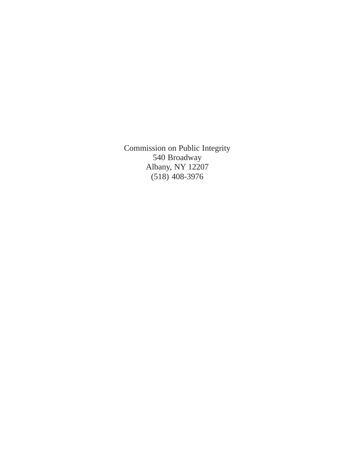Commission on Public Integrity 540 Broadway Albany, NY 12207 (518) 408-3976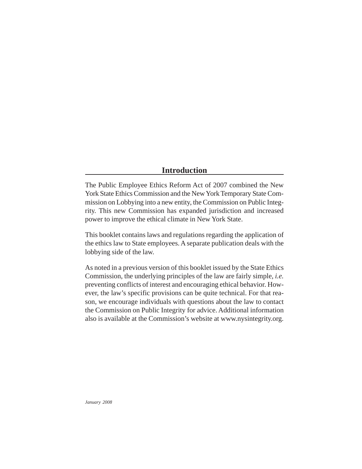# **Introduction**

The Public Employee Ethics Reform Act of 2007 combined the New York State Ethics Commission and the New York Temporary State Commission on Lobbying into a new entity, the Commission on Public Integrity. This new Commission has expanded jurisdiction and increased power to improve the ethical climate in New York State.

This booklet contains laws and regulations regarding the application of the ethics law to State employees. A separate publication deals with the lobbying side of the law.

As noted in a previous version of this booklet issued by the State Ethics Commission, the underlying principles of the law are fairly simple, *i.e.* preventing conflicts of interest and encouraging ethical behavior. However, the law's specific provisions can be quite technical. For that reason, we encourage individuals with questions about the law to contact the Commission on Public Integrity for advice. Additional information also is available at the Commission's website at www.nysintegrity.org.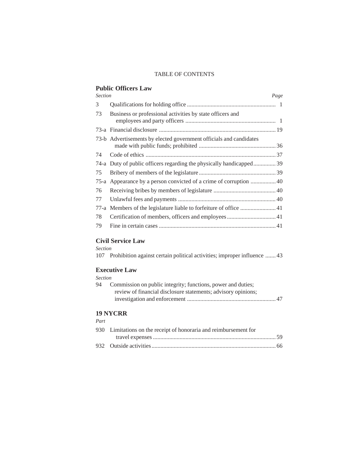## TABLE OF CONTENTS

## **Public Officers Law**

| <b>Section</b> |                                                                      | Page |
|----------------|----------------------------------------------------------------------|------|
| 3              |                                                                      |      |
| 73             | Business or professional activities by state officers and            |      |
|                |                                                                      |      |
|                | 73-b Advertisements by elected government officials and candidates   |      |
| 74             |                                                                      |      |
|                | 74-a Duty of public officers regarding the physically handicapped 39 |      |
| 75             |                                                                      |      |
|                | 75-a Appearance by a person convicted of a crime of corruption  40   |      |
| 76             |                                                                      |      |
| 77             |                                                                      |      |
|                |                                                                      |      |
| 78             | Certification of members, officers and employees 41                  |      |
| 79             |                                                                      |      |

## **Civil Service Law**

#### *Section*

107 Prohibition against certain political activities; improper influence ....... 43

## **Executive Law**

| Section |
|---------|
|         |

| 94 | Commission on public integrity; functions, power and duties;  |
|----|---------------------------------------------------------------|
|    | review of financial disclosure statements; advisory opinions; |
|    |                                                               |

## **19 NYCRR**

## *Part*

| 930 Limitations on the receipt of honoraria and reimbursement for |  |
|-------------------------------------------------------------------|--|
|                                                                   |  |
|                                                                   |  |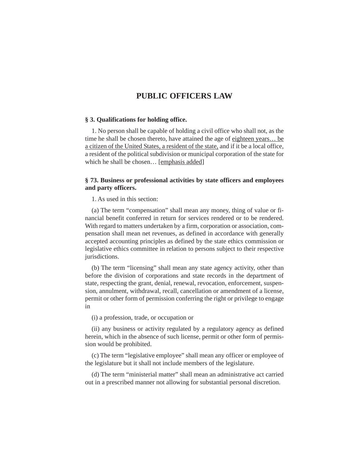#### **§ 3. Qualifications for holding office.**

1. No person shall be capable of holding a civil office who shall not, as the time he shall be chosen thereto, have attained the age of eighteen years… be a citizen of the United States, a resident of the state, and if it be a local office, a resident of the political subdivision or municipal corporation of the state for which he shall be chosen... [emphasis added]

## **§ 73. Business or professional activities by state officers and employees and party officers.**

1. As used in this section:

(a) The term "compensation" shall mean any money, thing of value or financial benefit conferred in return for services rendered or to be rendered. With regard to matters undertaken by a firm, corporation or association, compensation shall mean net revenues, as defined in accordance with generally accepted accounting principles as defined by the state ethics commission or legislative ethics committee in relation to persons subject to their respective jurisdictions.

(b) The term "licensing" shall mean any state agency activity, other than before the division of corporations and state records in the department of state, respecting the grant, denial, renewal, revocation, enforcement, suspension, annulment, withdrawal, recall, cancellation or amendment of a license, permit or other form of permission conferring the right or privilege to engage in

(i) a profession, trade, or occupation or

(ii) any business or activity regulated by a regulatory agency as defined herein, which in the absence of such license, permit or other form of permission would be prohibited.

(c) The term "legislative employee" shall mean any officer or employee of the legislature but it shall not include members of the legislature.

(d) The term "ministerial matter" shall mean an administrative act carried out in a prescribed manner not allowing for substantial personal discretion.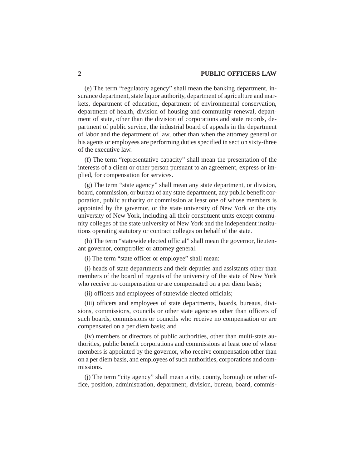(e) The term "regulatory agency" shall mean the banking department, insurance department, state liquor authority, department of agriculture and markets, department of education, department of environmental conservation, department of health, division of housing and community renewal, department of state, other than the division of corporations and state records, department of public service, the industrial board of appeals in the department of labor and the department of law, other than when the attorney general or his agents or employees are performing duties specified in section sixty-three of the executive law.

(f) The term "representative capacity" shall mean the presentation of the interests of a client or other person pursuant to an agreement, express or implied, for compensation for services.

(g) The term "state agency" shall mean any state department, or division, board, commission, or bureau of any state department, any public benefit corporation, public authority or commission at least one of whose members is appointed by the governor, or the state university of New York or the city university of New York, including all their constituent units except community colleges of the state university of New York and the independent institutions operating statutory or contract colleges on behalf of the state.

(h) The term "statewide elected official" shall mean the governor, lieutenant governor, comptroller or attorney general.

(i) The term "state officer or employee" shall mean:

(i) heads of state departments and their deputies and assistants other than members of the board of regents of the university of the state of New York who receive no compensation or are compensated on a per diem basis;

(ii) officers and employees of statewide elected officials;

(iii) officers and employees of state departments, boards, bureaus, divisions, commissions, councils or other state agencies other than officers of such boards, commissions or councils who receive no compensation or are compensated on a per diem basis; and

(iv) members or directors of public authorities, other than multi-state authorities, public benefit corporations and commissions at least one of whose members is appointed by the governor, who receive compensation other than on a per diem basis, and employees of such authorities, corporations and commissions.

(j) The term "city agency" shall mean a city, county, borough or other office, position, administration, department, division, bureau, board, commis-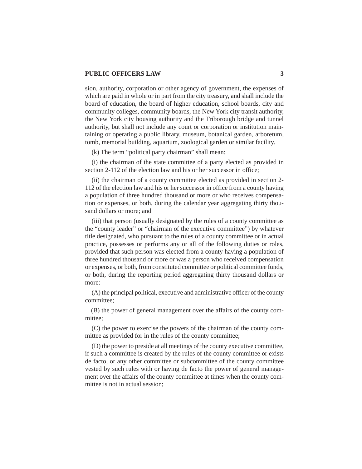sion, authority, corporation or other agency of government, the expenses of which are paid in whole or in part from the city treasury, and shall include the board of education, the board of higher education, school boards, city and community colleges, community boards, the New York city transit authority, the New York city housing authority and the Triborough bridge and tunnel authority, but shall not include any court or corporation or institution maintaining or operating a public library, museum, botanical garden, arboretum, tomb, memorial building, aquarium, zoological garden or similar facility.

(k) The term "political party chairman" shall mean:

(i) the chairman of the state committee of a party elected as provided in section 2-112 of the election law and his or her successor in office;

(ii) the chairman of a county committee elected as provided in section 2- 112 of the election law and his or her successor in office from a county having a population of three hundred thousand or more or who receives compensation or expenses, or both, during the calendar year aggregating thirty thousand dollars or more; and

(iii) that person (usually designated by the rules of a county committee as the "county leader" or "chairman of the executive committee") by whatever title designated, who pursuant to the rules of a county committee or in actual practice, possesses or performs any or all of the following duties or roles, provided that such person was elected from a county having a population of three hundred thousand or more or was a person who received compensation or expenses, or both, from constituted committee or political committee funds, or both, during the reporting period aggregating thirty thousand dollars or more:

(A) the principal political, executive and administrative officer of the county committee;

(B) the power of general management over the affairs of the county committee;

(C) the power to exercise the powers of the chairman of the county committee as provided for in the rules of the county committee;

(D) the power to preside at all meetings of the county executive committee, if such a committee is created by the rules of the county committee or exists de facto, or any other committee or subcommittee of the county committee vested by such rules with or having de facto the power of general management over the affairs of the county committee at times when the county committee is not in actual session;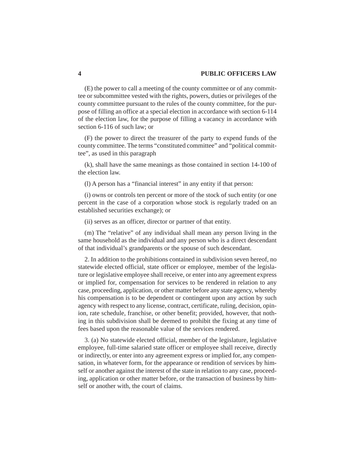(E) the power to call a meeting of the county committee or of any committee or subcommittee vested with the rights, powers, duties or privileges of the county committee pursuant to the rules of the county committee, for the purpose of filling an office at a special election in accordance with section 6-114 of the election law, for the purpose of filling a vacancy in accordance with section 6-116 of such law; or

(F) the power to direct the treasurer of the party to expend funds of the county committee. The terms "constituted committee" and "political committee", as used in this paragraph

(k), shall have the same meanings as those contained in section 14-100 of the election law.

(l) A person has a "financial interest" in any entity if that person:

(i) owns or controls ten percent or more of the stock of such entity (or one percent in the case of a corporation whose stock is regularly traded on an established securities exchange); or

(ii) serves as an officer, director or partner of that entity.

(m) The "relative" of any individual shall mean any person living in the same household as the individual and any person who is a direct descendant of that individual's grandparents or the spouse of such descendant.

2. In addition to the prohibitions contained in subdivision seven hereof, no statewide elected official, state officer or employee, member of the legislature or legislative employee shall receive, or enter into any agreement express or implied for, compensation for services to be rendered in relation to any case, proceeding, application, or other matter before any state agency, whereby his compensation is to be dependent or contingent upon any action by such agency with respect to any license, contract, certificate, ruling, decision, opinion, rate schedule, franchise, or other benefit; provided, however, that nothing in this subdivision shall be deemed to prohibit the fixing at any time of fees based upon the reasonable value of the services rendered.

3. (a) No statewide elected official, member of the legislature, legislative employee, full-time salaried state officer or employee shall receive, directly or indirectly, or enter into any agreement express or implied for, any compensation, in whatever form, for the appearance or rendition of services by himself or another against the interest of the state in relation to any case, proceeding, application or other matter before, or the transaction of business by himself or another with, the court of claims.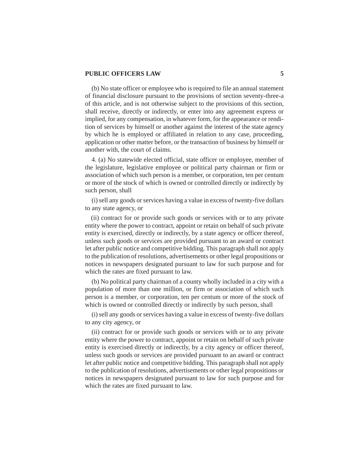(b) No state officer or employee who is required to file an annual statement of financial disclosure pursuant to the provisions of section seventy-three-a of this article, and is not otherwise subject to the provisions of this section, shall receive, directly or indirectly, or enter into any agreement express or implied, for any compensation, in whatever form, for the appearance or rendition of services by himself or another against the interest of the state agency by which he is employed or affiliated in relation to any case, proceeding, application or other matter before, or the transaction of business by himself or another with, the court of claims.

4. (a) No statewide elected official, state officer or employee, member of the legislature, legislative employee or political party chairman or firm or association of which such person is a member, or corporation, ten per centum or more of the stock of which is owned or controlled directly or indirectly by such person, shall

(i) sell any goods or services having a value in excess of twenty-five dollars to any state agency, or

(ii) contract for or provide such goods or services with or to any private entity where the power to contract, appoint or retain on behalf of such private entity is exercised, directly or indirectly, by a state agency or officer thereof, unless such goods or services are provided pursuant to an award or contract let after public notice and competitive bidding. This paragraph shall not apply to the publication of resolutions, advertisements or other legal propositions or notices in newspapers designated pursuant to law for such purpose and for which the rates are fixed pursuant to law.

(b) No political party chairman of a county wholly included in a city with a population of more than one million, or firm or association of which such person is a member, or corporation, ten per centum or more of the stock of which is owned or controlled directly or indirectly by such person, shall

(i) sell any goods or services having a value in excess of twenty-five dollars to any city agency, or

(ii) contract for or provide such goods or services with or to any private entity where the power to contract, appoint or retain on behalf of such private entity is exercised directly or indirectly, by a city agency or officer thereof, unless such goods or services are provided pursuant to an award or contract let after public notice and competitive bidding. This paragraph shall not apply to the publication of resolutions, advertisements or other legal propositions or notices in newspapers designated pursuant to law for such purpose and for which the rates are fixed pursuant to law.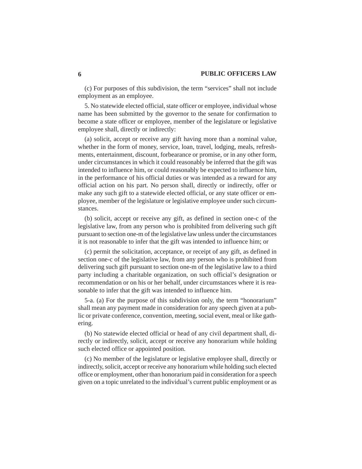(c) For purposes of this subdivision, the term "services" shall not include employment as an employee.

5. No statewide elected official, state officer or employee, individual whose name has been submitted by the governor to the senate for confirmation to become a state officer or employee, member of the legislature or legislative employee shall, directly or indirectly:

(a) solicit, accept or receive any gift having more than a nominal value, whether in the form of money, service, loan, travel, lodging, meals, refreshments, entertainment, discount, forbearance or promise, or in any other form, under circumstances in which it could reasonably be inferred that the gift was intended to influence him, or could reasonably be expected to influence him, in the performance of his official duties or was intended as a reward for any official action on his part. No person shall, directly or indirectly, offer or make any such gift to a statewide elected official, or any state officer or employee, member of the legislature or legislative employee under such circumstances.

(b) solicit, accept or receive any gift, as defined in section one-c of the legislative law, from any person who is prohibited from delivering such gift pursuant to section one-m of the legislative law unless under the circumstances it is not reasonable to infer that the gift was intended to influence him; or

(c) permit the solicitation, acceptance, or receipt of any gift, as defined in section one-c of the legislative law, from any person who is prohibited from delivering such gift pursuant to section one-m of the legislative law to a third party including a charitable organization, on such official's designation or recommendation or on his or her behalf, under circumstances where it is reasonable to infer that the gift was intended to influence him.

5-a. (a) For the purpose of this subdivision only, the term "honorarium" shall mean any payment made in consideration for any speech given at a public or private conference, convention, meeting, social event, meal or like gathering.

(b) No statewide elected official or head of any civil department shall, directly or indirectly, solicit, accept or receive any honorarium while holding such elected office or appointed position.

(c) No member of the legislature or legislative employee shall, directly or indirectly, solicit, accept or receive any honorarium while holding such elected office or employment, other than honorarium paid in consideration for a speech given on a topic unrelated to the individual's current public employment or as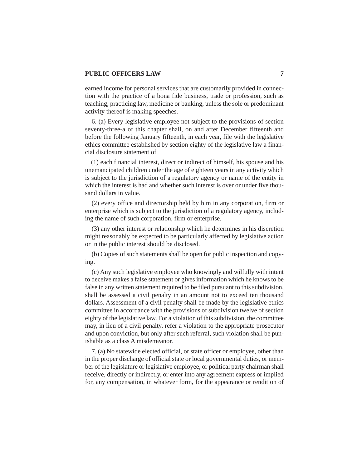earned income for personal services that are customarily provided in connection with the practice of a bona fide business, trade or profession, such as teaching, practicing law, medicine or banking, unless the sole or predominant activity thereof is making speeches.

6. (a) Every legislative employee not subject to the provisions of section seventy-three-a of this chapter shall, on and after December fifteenth and before the following January fifteenth, in each year, file with the legislative ethics committee established by section eighty of the legislative law a financial disclosure statement of

(1) each financial interest, direct or indirect of himself, his spouse and his unemancipated children under the age of eighteen years in any activity which is subject to the jurisdiction of a regulatory agency or name of the entity in which the interest is had and whether such interest is over or under five thousand dollars in value.

(2) every office and directorship held by him in any corporation, firm or enterprise which is subject to the jurisdiction of a regulatory agency, including the name of such corporation, firm or enterprise.

(3) any other interest or relationship which he determines in his discretion might reasonably be expected to be particularly affected by legislative action or in the public interest should be disclosed.

(b) Copies of such statements shall be open for public inspection and copying.

(c) Any such legislative employee who knowingly and wilfully with intent to deceive makes a false statement or gives information which he knows to be false in any written statement required to be filed pursuant to this subdivision, shall be assessed a civil penalty in an amount not to exceed ten thousand dollars. Assessment of a civil penalty shall be made by the legislative ethics committee in accordance with the provisions of subdivision twelve of section eighty of the legislative law. For a violation of this subdivision, the committee may, in lieu of a civil penalty, refer a violation to the appropriate prosecutor and upon conviction, but only after such referral, such violation shall be punishable as a class A misdemeanor.

7. (a) No statewide elected official, or state officer or employee, other than in the proper discharge of official state or local governmental duties, or member of the legislature or legislative employee, or political party chairman shall receive, directly or indirectly, or enter into any agreement express or implied for, any compensation, in whatever form, for the appearance or rendition of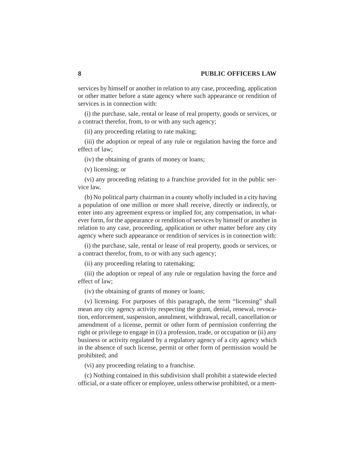services by himself or another in relation to any case, proceeding, application or other matter before a state agency where such appearance or rendition of services is in connection with:

(i) the purchase, sale, rental or lease of real property, goods or services, or a contract therefor, from, to or with any such agency;

(ii) any proceeding relating to rate making;

(iii) the adoption or repeal of any rule or regulation having the force and effect of law;

(iv) the obtaining of grants of money or loans;

(v) licensing; or

(vi) any proceeding relating to a franchise provided for in the public service law.

(b) No political party chairman in a county wholly included in a city having a population of one million or more shall receive, directly or indirectly, or enter into any agreement express or implied for, any compensation, in whatever form, for the appearance or rendition of services by himself or another in relation to any case, proceeding, application or other matter before any city agency where such appearance or rendition of services is in connection with:

(i) the purchase, sale, rental or lease of real property, goods or services, or a contract therefor, from, to or with any such agency;

(ii) any proceeding relating to ratemaking;

(iii) the adoption or repeal of any rule or regulation having the force and effect of law;

(iv) the obtaining of grants of money or loans;

(v) licensing. For purposes of this paragraph, the term "licensing" shall mean any city agency activity respecting the grant, denial, renewal, revocation, enforcement, suspension, annulment, withdrawal, recall, cancellation or amendment of a license, permit or other form of permission conferring the right or privilege to engage in (i) a profession, trade, or occupation or (ii) any business or activity regulated by a regulatory agency of a city agency which in the absence of such license, permit or other form of permission would be prohibited; and

(vi) any proceeding relating to a franchise.

(c) Nothing contained in this subdivision shall prohibit a statewide elected official, or a state officer or employee, unless otherwise prohibited, or a mem-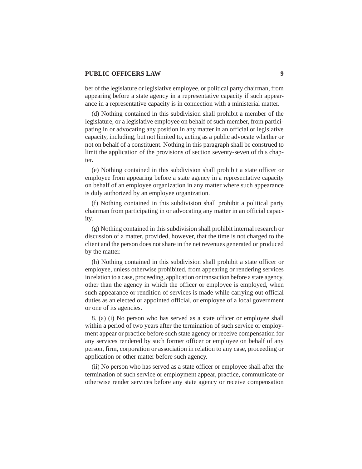ber of the legislature or legislative employee, or political party chairman, from appearing before a state agency in a representative capacity if such appearance in a representative capacity is in connection with a ministerial matter.

(d) Nothing contained in this subdivision shall prohibit a member of the legislature, or a legislative employee on behalf of such member, from participating in or advocating any position in any matter in an official or legislative capacity, including, but not limited to, acting as a public advocate whether or not on behalf of a constituent. Nothing in this paragraph shall be construed to limit the application of the provisions of section seventy-seven of this chapter.

(e) Nothing contained in this subdivision shall prohibit a state officer or employee from appearing before a state agency in a representative capacity on behalf of an employee organization in any matter where such appearance is duly authorized by an employee organization.

(f) Nothing contained in this subdivision shall prohibit a political party chairman from participating in or advocating any matter in an official capacity.

(g) Nothing contained in this subdivision shall prohibit internal research or discussion of a matter, provided, however, that the time is not charged to the client and the person does not share in the net revenues generated or produced by the matter.

(h) Nothing contained in this subdivision shall prohibit a state officer or employee, unless otherwise prohibited, from appearing or rendering services in relation to a case, proceeding, application or transaction before a state agency, other than the agency in which the officer or employee is employed, when such appearance or rendition of services is made while carrying out official duties as an elected or appointed official, or employee of a local government or one of its agencies.

8. (a) (i) No person who has served as a state officer or employee shall within a period of two years after the termination of such service or employment appear or practice before such state agency or receive compensation for any services rendered by such former officer or employee on behalf of any person, firm, corporation or association in relation to any case, proceeding or application or other matter before such agency.

(ii) No person who has served as a state officer or employee shall after the termination of such service or employment appear, practice, communicate or otherwise render services before any state agency or receive compensation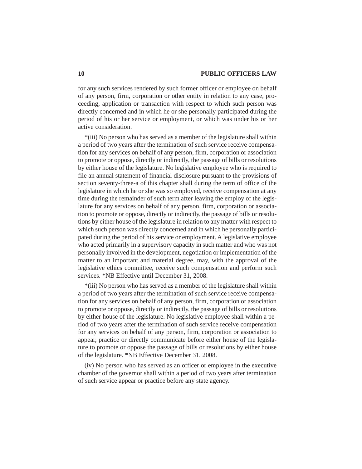for any such services rendered by such former officer or employee on behalf of any person, firm, corporation or other entity in relation to any case, proceeding, application or transaction with respect to which such person was directly concerned and in which he or she personally participated during the period of his or her service or employment, or which was under his or her active consideration.

\*(iii) No person who has served as a member of the legislature shall within a period of two years after the termination of such service receive compensation for any services on behalf of any person, firm, corporation or association to promote or oppose, directly or indirectly, the passage of bills or resolutions by either house of the legislature. No legislative employee who is required to file an annual statement of financial disclosure pursuant to the provisions of section seventy-three-a of this chapter shall during the term of office of the legislature in which he or she was so employed, receive compensation at any time during the remainder of such term after leaving the employ of the legislature for any services on behalf of any person, firm, corporation or association to promote or oppose, directly or indirectly, the passage of bills or resolutions by either house of the legislature in relation to any matter with respect to which such person was directly concerned and in which he personally participated during the period of his service or employment. A legislative employee who acted primarily in a supervisory capacity in such matter and who was not personally involved in the development, negotiation or implementation of the matter to an important and material degree, may, with the approval of the legislative ethics committee, receive such compensation and perform such services. \*NB Effective until December 31, 2008.

\*(iii) No person who has served as a member of the legislature shall within a period of two years after the termination of such service receive compensation for any services on behalf of any person, firm, corporation or association to promote or oppose, directly or indirectly, the passage of bills or resolutions by either house of the legislature. No legislative employee shall within a period of two years after the termination of such service receive compensation for any services on behalf of any person, firm, corporation or association to appear, practice or directly communicate before either house of the legislature to promote or oppose the passage of bills or resolutions by either house of the legislature. \*NB Effective December 31, 2008.

(iv) No person who has served as an officer or employee in the executive chamber of the governor shall within a period of two years after termination of such service appear or practice before any state agency.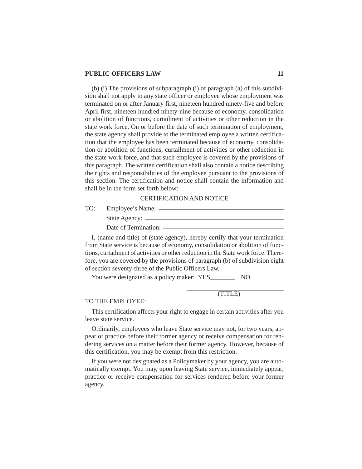(b) (i) The provisions of subparagraph (i) of paragraph (a) of this subdivision shall not apply to any state officer or employee whose employment was terminated on or after January first, nineteen hundred ninety-five and before April first, nineteen hundred ninety-nine because of economy, consolidation or abolition of functions, curtailment of activities or other reduction in the state work force. On or before the date of such termination of employment, the state agency shall provide to the terminated employee a written certification that the employee has been terminated because of economy, consolidation or abolition of functions, curtailment of activities or other reduction in the state work force, and that such employee is covered by the provisions of this paragraph. The written certification shall also contain a notice describing the rights and responsibilities of the employee pursuant to the provisions of this section. The certification and notice shall contain the information and shall be in the form set forth below:

#### CERTIFICATION AND NOTICE

TO: Employee's Name:

| State Agency:        |
|----------------------|
|                      |
| Date of Termination: |
|                      |

I, (name and title) of (state agency), hereby certify that your termination from State service is because of economy, consolidation or abolition of functions, curtailment of activities or other reduction in the State work force. Therefore, you are covered by the provisions of paragraph (b) of subdivision eight of section seventy-three of the Public Officers Law.

You were designated as a policy maker: YES\_\_\_\_\_\_\_\_\_\_\_ NO

# (TITLE)

#### TO THE EMPLOYEE:

This certification affects your right to engage in certain activities after you leave state service.

Ordinarily, employees who leave State service may not, for two years, appear or practice before their former agency or receive compensation for rendering services on a matter before their former agency. However, because of this certification, you may be exempt from this restriction.

If you were not designated as a Policymaker by your agency, you are automatically exempt. You may, upon leaving State service, immediately appear, practice or receive compensation for services rendered before your former agency.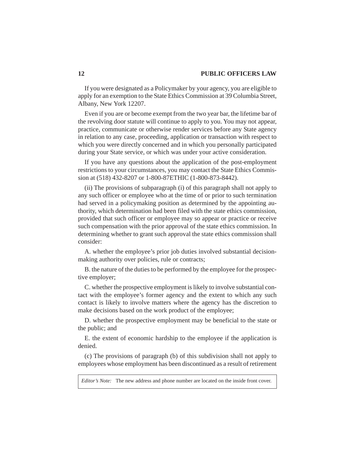If you were designated as a Policymaker by your agency, you are eligible to apply for an exemption to the State Ethics Commission at 39 Columbia Street, Albany, New York 12207.

Even if you are or become exempt from the two year bar, the lifetime bar of the revolving door statute will continue to apply to you. You may not appear, practice, communicate or otherwise render services before any State agency in relation to any case, proceeding, application or transaction with respect to which you were directly concerned and in which you personally participated during your State service, or which was under your active consideration.

If you have any questions about the application of the post-employment restrictions to your circumstances, you may contact the State Ethics Commission at (518) 432-8207 or 1-800-87ETHIC (1-800-873-8442).

(ii) The provisions of subparagraph (i) of this paragraph shall not apply to any such officer or employee who at the time of or prior to such termination had served in a policymaking position as determined by the appointing authority, which determination had been filed with the state ethics commission, provided that such officer or employee may so appear or practice or receive such compensation with the prior approval of the state ethics commission. In determining whether to grant such approval the state ethics commission shall consider:

A. whether the employee's prior job duties involved substantial decisionmaking authority over policies, rule or contracts;

B. the nature of the duties to be performed by the employee for the prospective employer;

C. whether the prospective employment is likely to involve substantial contact with the employee's former agency and the extent to which any such contact is likely to involve matters where the agency has the discretion to make decisions based on the work product of the employee;

D. whether the prospective employment may be beneficial to the state or the public; and

E. the extent of economic hardship to the employee if the application is denied.

(c) The provisions of paragraph (b) of this subdivision shall not apply to employees whose employment has been discontinued as a result of retirement

*Editor's Note:* The new address and phone number are located on the inside front cover.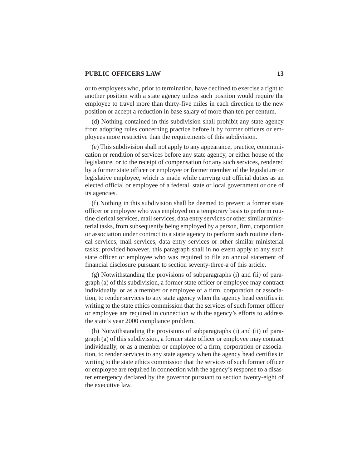or to employees who, prior to termination, have declined to exercise a right to another position with a state agency unless such position would require the employee to travel more than thirty-five miles in each direction to the new position or accept a reduction in base salary of more than ten per centum.

(d) Nothing contained in this subdivision shall prohibit any state agency from adopting rules concerning practice before it by former officers or employees more restrictive than the requirements of this subdivision.

(e) This subdivision shall not apply to any appearance, practice, communication or rendition of services before any state agency, or either house of the legislature, or to the receipt of compensation for any such services, rendered by a former state officer or employee or former member of the legislature or legislative employee, which is made while carrying out official duties as an elected official or employee of a federal, state or local government or one of its agencies.

(f) Nothing in this subdivision shall be deemed to prevent a former state officer or employee who was employed on a temporary basis to perform routine clerical services, mail services, data entry services or other similar ministerial tasks, from subsequently being employed by a person, firm, corporation or association under contract to a state agency to perform such routine clerical services, mail services, data entry services or other similar ministerial tasks; provided however, this paragraph shall in no event apply to any such state officer or employee who was required to file an annual statement of financial disclosure pursuant to section seventy-three-a of this article.

(g) Notwithstanding the provisions of subparagraphs (i) and (ii) of paragraph (a) of this subdivision, a former state officer or employee may contract individually, or as a member or employee of a firm, corporation or association, to render services to any state agency when the agency head certifies in writing to the state ethics commission that the services of such former officer or employee are required in connection with the agency's efforts to address the state's year 2000 compliance problem.

(h) Notwithstanding the provisions of subparagraphs (i) and (ii) of paragraph (a) of this subdivision, a former state officer or employee may contract individually, or as a member or employee of a firm, corporation or association, to render services to any state agency when the agency head certifies in writing to the state ethics commission that the services of such former officer or employee are required in connection with the agency's response to a disaster emergency declared by the governor pursuant to section twenty-eight of the executive law.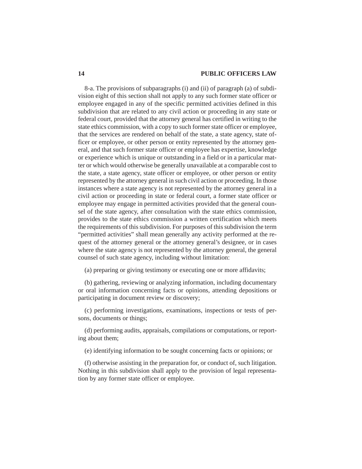8-a. The provisions of subparagraphs (i) and (ii) of paragraph (a) of subdivision eight of this section shall not apply to any such former state officer or employee engaged in any of the specific permitted activities defined in this subdivision that are related to any civil action or proceeding in any state or federal court, provided that the attorney general has certified in writing to the state ethics commission, with a copy to such former state officer or employee, that the services are rendered on behalf of the state, a state agency, state officer or employee, or other person or entity represented by the attorney general, and that such former state officer or employee has expertise, knowledge or experience which is unique or outstanding in a field or in a particular matter or which would otherwise be generally unavailable at a comparable cost to the state, a state agency, state officer or employee, or other person or entity represented by the attorney general in such civil action or proceeding. In those instances where a state agency is not represented by the attorney general in a civil action or proceeding in state or federal court, a former state officer or employee may engage in permitted activities provided that the general counsel of the state agency, after consultation with the state ethics commission, provides to the state ethics commission a written certification which meets the requirements of this subdivision. For purposes of this subdivision the term "permitted activities" shall mean generally any activity performed at the request of the attorney general or the attorney general's designee, or in cases where the state agency is not represented by the attorney general, the general counsel of such state agency, including without limitation:

(a) preparing or giving testimony or executing one or more affidavits;

(b) gathering, reviewing or analyzing information, including documentary or oral information concerning facts or opinions, attending depositions or participating in document review or discovery;

(c) performing investigations, examinations, inspections or tests of persons, documents or things;

(d) performing audits, appraisals, compilations or computations, or reporting about them;

(e) identifying information to be sought concerning facts or opinions; or

(f) otherwise assisting in the preparation for, or conduct of, such litigation. Nothing in this subdivision shall apply to the provision of legal representation by any former state officer or employee.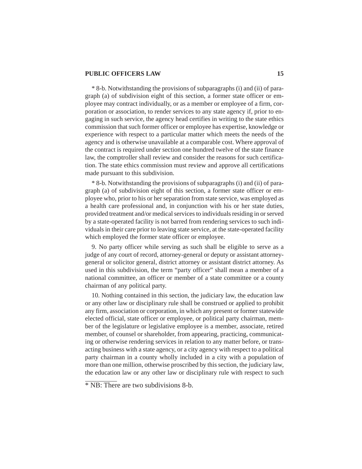\* 8-b. Notwithstanding the provisions of subparagraphs (i) and (ii) of paragraph (a) of subdivision eight of this section, a former state officer or employee may contract individually, or as a member or employee of a firm, corporation or association, to render services to any state agency if, prior to engaging in such service, the agency head certifies in writing to the state ethics commission that such former officer or employee has expertise, knowledge or experience with respect to a particular matter which meets the needs of the agency and is otherwise unavailable at a comparable cost. Where approval of the contract is required under section one hundred twelve of the state finance law, the comptroller shall review and consider the reasons for such certification. The state ethics commission must review and approve all certifications made pursuant to this subdivision.

\* 8-b. Notwithstanding the provisions of subparagraphs (i) and (ii) of paragraph (a) of subdivision eight of this section, a former state officer or employee who, prior to his or her separation from state service, was employed as a health care professional and, in conjunction with his or her state duties, provided treatment and/or medical services to individuals residing in or served by a state-operated facility is not barred from rendering services to such individuals in their care prior to leaving state service, at the state-operated facility which employed the former state officer or employee.

9. No party officer while serving as such shall be eligible to serve as a judge of any court of record, attorney-general or deputy or assistant attorneygeneral or solicitor general, district attorney or assistant district attorney. As used in this subdivision, the term "party officer" shall mean a member of a national committee, an officer or member of a state committee or a county chairman of any political party.

10. Nothing contained in this section, the judiciary law, the education law or any other law or disciplinary rule shall be construed or applied to prohibit any firm, association or corporation, in which any present or former statewide elected official, state officer or employee, or political party chairman, member of the legislature or legislative employee is a member, associate, retired member, of counsel or shareholder, from appearing, practicing, communicating or otherwise rendering services in relation to any matter before, or transacting business with a state agency, or a city agency with respect to a political party chairman in a county wholly included in a city with a population of more than one million, otherwise proscribed by this section, the judiciary law, the education law or any other law or disciplinary rule with respect to such

<sup>\*</sup> NB: There are two subdivisions 8-b.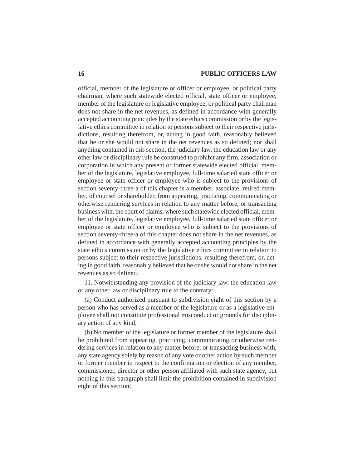official, member of the legislature or officer or employee, or political party chairman, where such statewide elected official, state officer or employee, member of the legislature or legislative employee, or political party chairman does not share in the net revenues, as defined in accordance with generally accepted accounting principles by the state ethics commission or by the legislative ethics committee in relation to persons subject to their respective jurisdictions, resulting therefrom, or, acting in good faith, reasonably believed that he or she would not share in the net revenues as so defined; nor shall anything contained in this section, the judiciary law, the education law or any other law or disciplinary rule be construed to prohibit any firm, association or corporation in which any present or former statewide elected official, member of the legislature, legislative employee, full-time salaried state officer or employee or state officer or employee who is subject to the provisions of section seventy-three-a of this chapter is a member, associate, retired member, of counsel or shareholder, from appearing, practicing, communicating or otherwise rendering services in relation to any matter before, or transacting business with, the court of claims, where such statewide elected official, member of the legislature, legislative employee, full-time salaried state officer or employee or state officer or employee who is subject to the provisions of section seventy-three-a of this chapter does not share in the net revenues, as defined in accordance with generally accepted accounting principles by the state ethics commission or by the legislative ethics committee in relation to persons subject to their respective jurisdictions, resulting therefrom, or, acting in good faith, reasonably believed that he or she would not share in the net revenues as so defined.

11. Notwithstanding any provision of the judiciary law, the education law or any other law or disciplinary rule to the contrary:

(a) Conduct authorized pursuant to subdivision eight of this section by a person who has served as a member of the legislature or as a legislative employee shall not constitute professional misconduct or grounds for disciplinary action of any kind;

(b) No member of the legislature or former member of the legislature shall be prohibited from appearing, practicing, communicating or otherwise rendering services in relation to any matter before, or transacting business with, any state agency solely by reason of any vote or other action by such member or former member in respect to the confirmation or election of any member, commissioner, director or other person affiliated with such state agency, but nothing in this paragraph shall limit the prohibition contained in subdivision eight of this section;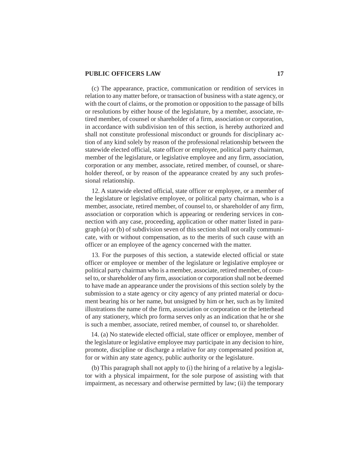(c) The appearance, practice, communication or rendition of services in relation to any matter before, or transaction of business with a state agency, or with the court of claims, or the promotion or opposition to the passage of bills or resolutions by either house of the legislature, by a member, associate, retired member, of counsel or shareholder of a firm, association or corporation, in accordance with subdivision ten of this section, is hereby authorized and shall not constitute professional misconduct or grounds for disciplinary action of any kind solely by reason of the professional relationship between the statewide elected official, state officer or employee, political party chairman, member of the legislature, or legislative employee and any firm, association, corporation or any member, associate, retired member, of counsel, or shareholder thereof, or by reason of the appearance created by any such professional relationship.

12. A statewide elected official, state officer or employee, or a member of the legislature or legislative employee, or political party chairman, who is a member, associate, retired member, of counsel to, or shareholder of any firm, association or corporation which is appearing or rendering services in connection with any case, proceeding, application or other matter listed in paragraph (a) or (b) of subdivision seven of this section shall not orally communicate, with or without compensation, as to the merits of such cause with an officer or an employee of the agency concerned with the matter.

13. For the purposes of this section, a statewide elected official or state officer or employee or member of the legislature or legislative employee or political party chairman who is a member, associate, retired member, of counsel to, or shareholder of any firm, association or corporation shall not be deemed to have made an appearance under the provisions of this section solely by the submission to a state agency or city agency of any printed material or document bearing his or her name, but unsigned by him or her, such as by limited illustrations the name of the firm, association or corporation or the letterhead of any stationery, which pro forma serves only as an indication that he or she is such a member, associate, retired member, of counsel to, or shareholder.

14. (a) No statewide elected official, state officer or employee, member of the legislature or legislative employee may participate in any decision to hire, promote, discipline or discharge a relative for any compensated position at, for or within any state agency, public authority or the legislature.

(b) This paragraph shall not apply to (i) the hiring of a relative by a legislator with a physical impairment, for the sole purpose of assisting with that impairment, as necessary and otherwise permitted by law; (ii) the temporary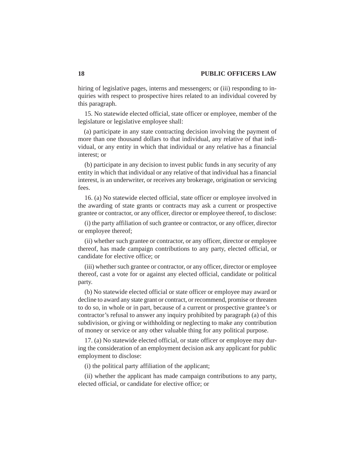hiring of legislative pages, interns and messengers; or (iii) responding to inquiries with respect to prospective hires related to an individual covered by this paragraph.

15. No statewide elected official, state officer or employee, member of the legislature or legislative employee shall:

(a) participate in any state contracting decision involving the payment of more than one thousand dollars to that individual, any relative of that individual, or any entity in which that individual or any relative has a financial interest; or

(b) participate in any decision to invest public funds in any security of any entity in which that individual or any relative of that individual has a financial interest, is an underwriter, or receives any brokerage, origination or servicing fees.

16. (a) No statewide elected official, state officer or employee involved in the awarding of state grants or contracts may ask a current or prospective grantee or contractor, or any officer, director or employee thereof, to disclose:

(i) the party affiliation of such grantee or contractor, or any officer, director or employee thereof;

(ii) whether such grantee or contractor, or any officer, director or employee thereof, has made campaign contributions to any party, elected official, or candidate for elective office; or

(iii) whether such grantee or contractor, or any officer, director or employee thereof, cast a vote for or against any elected official, candidate or political party.

(b) No statewide elected official or state officer or employee may award or decline to award any state grant or contract, or recommend, promise or threaten to do so, in whole or in part, because of a current or prospective grantee's or contractor's refusal to answer any inquiry prohibited by paragraph (a) of this subdivision, or giving or withholding or neglecting to make any contribution of money or service or any other valuable thing for any political purpose.

17. (a) No statewide elected official, or state officer or employee may during the consideration of an employment decision ask any applicant for public employment to disclose:

(i) the political party affiliation of the applicant;

(ii) whether the applicant has made campaign contributions to any party, elected official, or candidate for elective office; or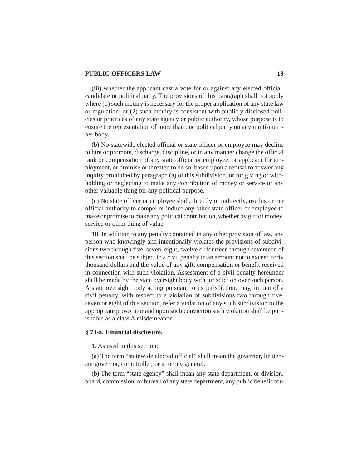(iii) whether the applicant cast a vote for or against any elected official, candidate or political party. The provisions of this paragraph shall not apply where (1) such inquiry is necessary for the proper application of any state law or regulation; or (2) such inquiry is consistent with publicly disclosed policies or practices of any state agency or public authority, whose purpose is to ensure the representation of more than one political party on any multi-member body.

(b) No statewide elected official or state officer or employee may decline to hire or promote, discharge, discipline, or in any manner change the official rank or compensation of any state official or employee, or applicant for employment, or promise or threaten to do so, based upon a refusal to answer any inquiry prohibited by paragraph (a) of this subdivision, or for giving or withholding or neglecting to make any contribution of money or service or any other valuable thing for any political purpose.

(c) No state officer or employee shall, directly or indirectly, use his or her official authority to compel or induce any other state officer or employee to make or promise to make any political contribution, whether by gift of money, service or other thing of value.

18. In addition to any penalty contained in any other provision of law, any person who knowingly and intentionally violates the provisions of subdivisions two through five, seven, eight, twelve or fourteen through seventeen of this section shall be subject to a civil penalty in an amount not to exceed forty thousand dollars and the value of any gift, compensation or benefit received in connection with such violation. Assessment of a civil penalty hereunder shall be made by the state oversight body with jurisdiction over such person. A state oversight body acting pursuant to its jurisdiction, may, in lieu of a civil penalty, with respect to a violation of subdivisions two through five, seven or eight of this section, refer a violation of any such subdivision to the appropriate prosecutor and upon such conviction such violation shall be punishable as a class A misdemeanor.

#### **§ 73-a. Financial disclosure.**

1. As used in this section:

(a) The term "statewide elected official" shall mean the governor, lieutenant governor, comptroller, or attorney general.

(b) The term "state agency" shall mean any state department, or division, board, commission, or bureau of any state department, any public benefit cor-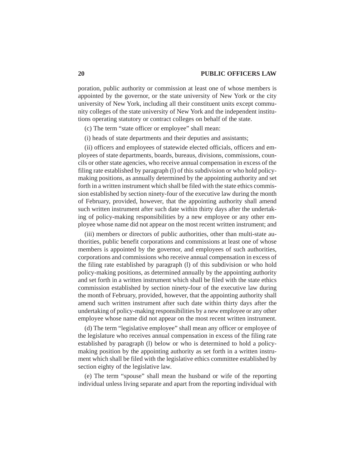poration, public authority or commission at least one of whose members is appointed by the governor, or the state university of New York or the city university of New York, including all their constituent units except community colleges of the state university of New York and the independent institutions operating statutory or contract colleges on behalf of the state.

(c) The term "state officer or employee" shall mean:

(i) heads of state departments and their deputies and assistants;

(ii) officers and employees of statewide elected officials, officers and employees of state departments, boards, bureaus, divisions, commissions, councils or other state agencies, who receive annual compensation in excess of the filing rate established by paragraph (l) of this subdivision or who hold policymaking positions, as annually determined by the appointing authority and set forth in a written instrument which shall be filed with the state ethics commission established by section ninety-four of the executive law during the month of February, provided, however, that the appointing authority shall amend such written instrument after such date within thirty days after the undertaking of policy-making responsibilities by a new employee or any other employee whose name did not appear on the most recent written instrument; and

(iii) members or directors of public authorities, other than multi-state authorities, public benefit corporations and commissions at least one of whose members is appointed by the governor, and employees of such authorities, corporations and commissions who receive annual compensation in excess of the filing rate established by paragraph (l) of this subdivision or who hold policy-making positions, as determined annually by the appointing authority and set forth in a written instrument which shall be filed with the state ethics commission established by section ninety-four of the executive law during the month of February, provided, however, that the appointing authority shall amend such written instrument after such date within thirty days after the undertaking of policy-making responsibilities by a new employee or any other employee whose name did not appear on the most recent written instrument.

(d) The term "legislative employee" shall mean any officer or employee of the legislature who receives annual compensation in excess of the filing rate established by paragraph (l) below or who is determined to hold a policymaking position by the appointing authority as set forth in a written instrument which shall be filed with the legislative ethics committee established by section eighty of the legislative law.

(e) The term "spouse" shall mean the husband or wife of the reporting individual unless living separate and apart from the reporting individual with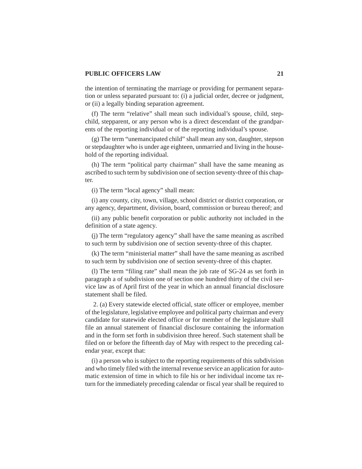the intention of terminating the marriage or providing for permanent separation or unless separated pursuant to: (i) a judicial order, decree or judgment, or (ii) a legally binding separation agreement.

(f) The term "relative" shall mean such individual's spouse, child, stepchild, stepparent, or any person who is a direct descendant of the grandparents of the reporting individual or of the reporting individual's spouse.

(g) The term "unemancipated child" shall mean any son, daughter, stepson or stepdaughter who is under age eighteen, unmarried and living in the household of the reporting individual.

(h) The term "political party chairman" shall have the same meaning as ascribed to such term by subdivision one of section seventy-three of this chapter.

(i) The term "local agency" shall mean:

(i) any county, city, town, village, school district or district corporation, or any agency, department, division, board, commission or bureau thereof; and

(ii) any public benefit corporation or public authority not included in the definition of a state agency.

(j) The term "regulatory agency" shall have the same meaning as ascribed to such term by subdivision one of section seventy-three of this chapter.

(k) The term "ministerial matter" shall have the same meaning as ascribed to such term by subdivision one of section seventy-three of this chapter.

(l) The term "filing rate" shall mean the job rate of SG-24 as set forth in paragraph a of subdivision one of section one hundred thirty of the civil service law as of April first of the year in which an annual financial disclosure statement shall be filed.

 2. (a) Every statewide elected official, state officer or employee, member of the legislature, legislative employee and political party chairman and every candidate for statewide elected office or for member of the legislature shall file an annual statement of financial disclosure containing the information and in the form set forth in subdivision three hereof. Such statement shall be filed on or before the fifteenth day of May with respect to the preceding calendar year, except that:

(i) a person who is subject to the reporting requirements of this subdivision and who timely filed with the internal revenue service an application for automatic extension of time in which to file his or her individual income tax return for the immediately preceding calendar or fiscal year shall be required to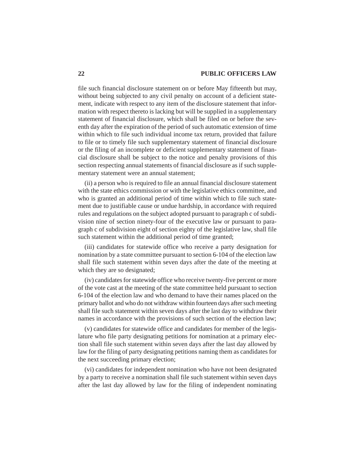file such financial disclosure statement on or before May fifteenth but may, without being subjected to any civil penalty on account of a deficient statement, indicate with respect to any item of the disclosure statement that information with respect thereto is lacking but will be supplied in a supplementary statement of financial disclosure, which shall be filed on or before the seventh day after the expiration of the period of such automatic extension of time within which to file such individual income tax return, provided that failure to file or to timely file such supplementary statement of financial disclosure or the filing of an incomplete or deficient supplementary statement of financial disclosure shall be subject to the notice and penalty provisions of this section respecting annual statements of financial disclosure as if such supplementary statement were an annual statement;

(ii) a person who is required to file an annual financial disclosure statement with the state ethics commission or with the legislative ethics committee, and who is granted an additional period of time within which to file such statement due to justifiable cause or undue hardship, in accordance with required rules and regulations on the subject adopted pursuant to paragraph c of subdivision nine of section ninety-four of the executive law or pursuant to paragraph c of subdivision eight of section eighty of the legislative law, shall file such statement within the additional period of time granted;

(iii) candidates for statewide office who receive a party designation for nomination by a state committee pursuant to section 6-104 of the election law shall file such statement within seven days after the date of the meeting at which they are so designated;

(iv) candidates for statewide office who receive twenty-five percent or more of the vote cast at the meeting of the state committee held pursuant to section 6-104 of the election law and who demand to have their names placed on the primary ballot and who do not withdraw within fourteen days after such meeting shall file such statement within seven days after the last day to withdraw their names in accordance with the provisions of such section of the election law;

(v) candidates for statewide office and candidates for member of the legislature who file party designating petitions for nomination at a primary election shall file such statement within seven days after the last day allowed by law for the filing of party designating petitions naming them as candidates for the next succeeding primary election;

(vi) candidates for independent nomination who have not been designated by a party to receive a nomination shall file such statement within seven days after the last day allowed by law for the filing of independent nominating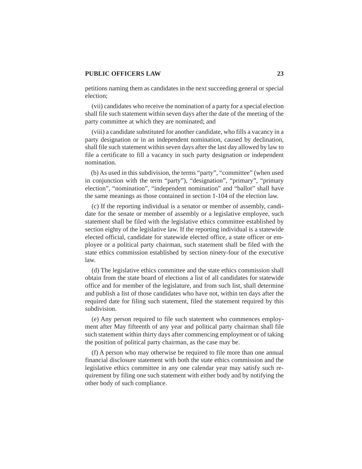petitions naming them as candidates in the next succeeding general or special election;

(vii) candidates who receive the nomination of a party for a special election shall file such statement within seven days after the date of the meeting of the party committee at which they are nominated; and

(viii) a candidate substituted for another candidate, who fills a vacancy in a party designation or in an independent nomination, caused by declination, shall file such statement within seven days after the last day allowed by law to file a certificate to fill a vacancy in such party designation or independent nomination.

(b) As used in this subdivision, the terms "party", "committee" (when used in conjunction with the term "party"), "designation", "primary", "primary election", "nomination", "independent nomination" and "ballot" shall have the same meanings as those contained in section 1-104 of the election law.

(c) If the reporting individual is a senator or member of assembly, candidate for the senate or member of assembly or a legislative employee, such statement shall be filed with the legislative ethics committee established by section eighty of the legislative law. If the reporting individual is a statewide elected official, candidate for statewide elected office, a state officer or employee or a political party chairman, such statement shall be filed with the state ethics commission established by section ninety-four of the executive law.

(d) The legislative ethics committee and the state ethics commission shall obtain from the state board of elections a list of all candidates for statewide office and for member of the legislature, and from such list, shall determine and publish a list of those candidates who have not, within ten days after the required date for filing such statement, filed the statement required by this subdivision.

(e) Any person required to file such statement who commences employment after May fifteenth of any year and political party chairman shall file such statement within thirty days after commencing employment or of taking the position of political party chairman, as the case may be.

(f) A person who may otherwise be required to file more than one annual financial disclosure statement with both the state ethics commission and the legislative ethics committee in any one calendar year may satisfy such requirement by filing one such statement with either body and by notifying the other body of such compliance.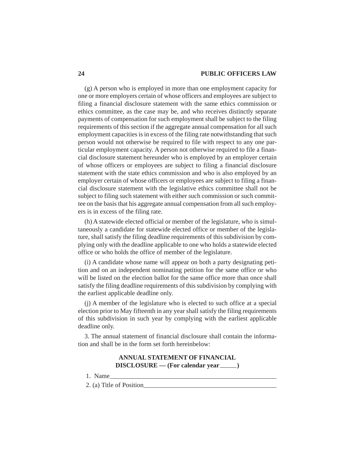(g) A person who is employed in more than one employment capacity for one or more employers certain of whose officers and employees are subject to filing a financial disclosure statement with the same ethics commission or ethics committee, as the case may be, and who receives distinctly separate payments of compensation for such employment shall be subject to the filing requirements of this section if the aggregate annual compensation for all such employment capacities is in excess of the filing rate notwithstanding that such person would not otherwise be required to file with respect to any one particular employment capacity. A person not otherwise required to file a financial disclosure statement hereunder who is employed by an employer certain of whose officers or employees are subject to filing a financial disclosure statement with the state ethics commission and who is also employed by an employer certain of whose officers or employees are subject to filing a financial disclosure statement with the legislative ethics committee shall not be subject to filing such statement with either such commission or such committee on the basis that his aggregate annual compensation from all such employers is in excess of the filing rate.

(h) A statewide elected official or member of the legislature, who is simultaneously a candidate for statewide elected office or member of the legislature, shall satisfy the filing deadline requirements of this subdivision by complying only with the deadline applicable to one who holds a statewide elected office or who holds the office of member of the legislature.

(i) A candidate whose name will appear on both a party designating petition and on an independent nominating petition for the same office or who will be listed on the election ballot for the same office more than once shall satisfy the filing deadline requirements of this subdivision by complying with the earliest applicable deadline only.

(j) A member of the legislature who is elected to such office at a special election prior to May fifteenth in any year shall satisfy the filing requirements of this subdivision in such year by complying with the earliest applicable deadline only.

3. The annual statement of financial disclosure shall contain the information and shall be in the form set forth hereinbelow:

## **ANNUAL STATEMENT OF FINANCIAL DISCLOSURE** — (For calendar year <u>)</u>

1. Name

2. (a) Title of Position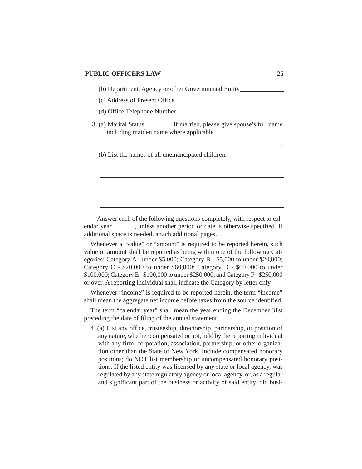(b) Department, Agency or other Governmental Entity

- (c) Address of Present Office
- (d) Office Telephone Number
- 3. (a) Marital Status . If married, please give spouse's full name including maiden name where applicable.
	- (b) List the names of all unemancipated children.

Answer each of the following questions completely, with respect to calendar year  $\frac{1}{\sqrt{2}}$ , unless another period or date is otherwise specified. If additional space is needed, attach additional pages.

Whenever a "value" or "amount" is required to be reported herein, such value or amount shall be reported as being within one of the following Categories: Category A - under \$5,000; Category B - \$5,000 to under \$20,000; Category  $C - $20,000$  to under \$60,000; Category  $D - $60,000$  to under \$100,000; Category E - \$100,000 to under \$250,000; and Category F - \$250,000 or over. A reporting individual shall indicate the Category by letter only.

Whenever "income" is required to be reported herein, the term "income" shall mean the aggregate net income before taxes from the source identified.

The term "calendar year" shall mean the year ending the December 31st preceding the date of filing of the annual statement.

4. (a) List any office, trusteeship, directorship, partnership, or position of any nature, whether compensated or not, held by the reporting individual with any firm, corporation, association, partnership, or other organization other than the State of New York. Include compensated honorary positions; do NOT list membership or uncompensated honorary positions. If the listed entity was licensed by any state or local agency, was regulated by any state regulatory agency or local agency, or, as a regular and significant part of the business or activity of said entity, did busi-

.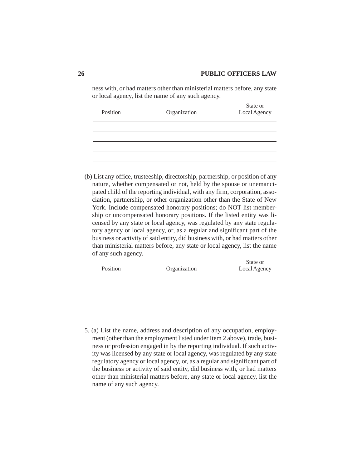ness with, or had matters other than ministerial matters before, any state or local agency, list the name of any such agency.

| Position | Organization | State or<br>Local Agency |
|----------|--------------|--------------------------|
|          |              |                          |
|          |              |                          |
|          |              |                          |
|          |              |                          |

(b) List any office, trusteeship, directorship, partnership, or position of any nature, whether compensated or not, held by the spouse or unemancipated child of the reporting individual, with any firm, corporation, association, partnership, or other organization other than the State of New York. Include compensated honorary positions; do NOT list membership or uncompensated honorary positions. If the listed entity was licensed by any state or local agency, was regulated by any state regulatory agency or local agency, or, as a regular and significant part of the business or activity of said entity, did business with, or had matters other than ministerial matters before, any state or local agency, list the name of any such agency.

| Position | Organization | State or<br>Local Agency |
|----------|--------------|--------------------------|
|          |              |                          |
|          |              |                          |
|          |              |                          |
|          |              |                          |

5. (a) List the name, address and description of any occupation, employment (other than the employment listed under Item 2 above), trade, business or profession engaged in by the reporting individual. If such activity was licensed by any state or local agency, was regulated by any state regulatory agency or local agency, or, as a regular and significant part of the business or activity of said entity, did business with, or had matters other than ministerial matters before, any state or local agency, list the name of any such agency.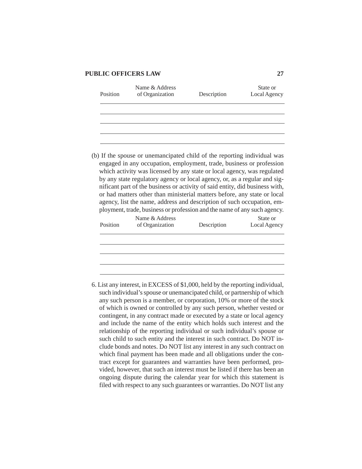| Position | Name & Address<br>of Organization                                                                                                                                                                                                                                                                                                                                                                                                                                                                                                                                                                                          | Description | State or<br>Local Agency |  |  |
|----------|----------------------------------------------------------------------------------------------------------------------------------------------------------------------------------------------------------------------------------------------------------------------------------------------------------------------------------------------------------------------------------------------------------------------------------------------------------------------------------------------------------------------------------------------------------------------------------------------------------------------------|-------------|--------------------------|--|--|
|          |                                                                                                                                                                                                                                                                                                                                                                                                                                                                                                                                                                                                                            |             |                          |  |  |
|          |                                                                                                                                                                                                                                                                                                                                                                                                                                                                                                                                                                                                                            |             |                          |  |  |
|          |                                                                                                                                                                                                                                                                                                                                                                                                                                                                                                                                                                                                                            |             |                          |  |  |
|          | (b) If the spouse or unemancipated child of the reporting individual was<br>engaged in any occupation, employment, trade, business or profession<br>which activity was licensed by any state or local agency, was regulated<br>by any state regulatory agency or local agency, or, as a regular and sig-<br>nificant part of the business or activity of said entity, did business with,<br>or had matters other than ministerial matters before, any state or local<br>agency, list the name, address and description of such occupation, em-<br>ployment, trade, business or profession and the name of any such agency. |             |                          |  |  |
|          | Name & Address                                                                                                                                                                                                                                                                                                                                                                                                                                                                                                                                                                                                             |             | State or                 |  |  |

| Position | Name & Address<br>of Organization | Description | State or<br>Local Agency |
|----------|-----------------------------------|-------------|--------------------------|
|          |                                   |             |                          |
|          |                                   |             |                          |
|          |                                   |             |                          |

6. List any interest, in EXCESS of \$1,000, held by the reporting individual, such individual's spouse or unemancipated child, or partnership of which any such person is a member, or corporation, 10% or more of the stock of which is owned or controlled by any such person, whether vested or contingent, in any contract made or executed by a state or local agency and include the name of the entity which holds such interest and the relationship of the reporting individual or such individual's spouse or such child to such entity and the interest in such contract. Do NOT include bonds and notes. Do NOT list any interest in any such contract on which final payment has been made and all obligations under the contract except for guarantees and warranties have been performed, provided, however, that such an interest must be listed if there has been an ongoing dispute during the calendar year for which this statement is filed with respect to any such guarantees or warranties. Do NOT list any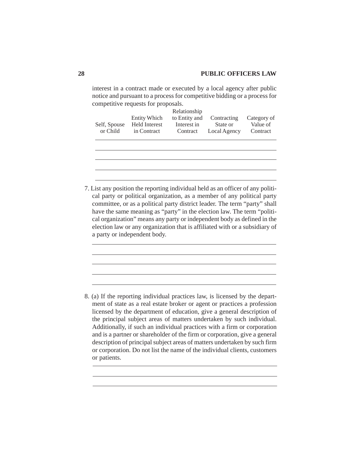interest in a contract made or executed by a local agency after public notice and pursuant to a process for competitive bidding or a process for competitive requests for proposals.

cal party or political organization, as a member of any political party committee, or as a political party district leader. The term "party" shall have the same meaning as "party" in the election law. The term "political organization" means any party or independent body as defined in the election law or any organization that is affiliated with or a subsidiary of a party or independent body.

8. (a) If the reporting individual practices law, is licensed by the department of state as a real estate broker or agent or practices a profession licensed by the department of education, give a general description of the principal subject areas of matters undertaken by such individual. Additionally, if such an individual practices with a firm or corporation and is a partner or shareholder of the firm or corporation, give a general description of principal subject areas of matters undertaken by such firm or corporation. Do not list the name of the individual clients, customers or patients.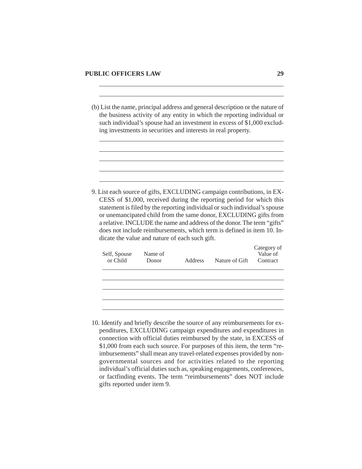(b) List the name, principal address and general description or the nature of the business activity of any entity in which the reporting individual or such individual's spouse had an investment in excess of \$1,000 excluding investments in securities and interests in real property.

9. List each source of gifts, EXCLUDING campaign contributions, in EX-CESS of \$1,000, received during the reporting period for which this statement is filed by the reporting individual or such individual's spouse or unemancipated child from the same donor, EXCLUDING gifts from a relative. INCLUDE the name and address of the donor. The term "gifts" does not include reimbursements, which term is defined in item 10. Indicate the value and nature of each such gift.

| Self, Spouse<br>or Child | Name of<br>Donor | <b>Address</b> | Nature of Gift | Category of<br>Value of<br>Contract |
|--------------------------|------------------|----------------|----------------|-------------------------------------|
|                          |                  |                |                |                                     |
|                          |                  |                |                |                                     |
|                          |                  |                |                |                                     |

10. Identify and briefly describe the source of any reimbursements for expenditures, EXCLUDING campaign expenditures and expenditures in connection with official duties reimbursed by the state, in EXCESS of \$1,000 from each such source. For purposes of this item, the term "reimbursements" shall mean any travel-related expenses provided by nongovernmental sources and for activities related to the reporting individual's official duties such as, speaking engagements, conferences, or factfinding events. The term "reimbursements" does NOT include gifts reported under item 9.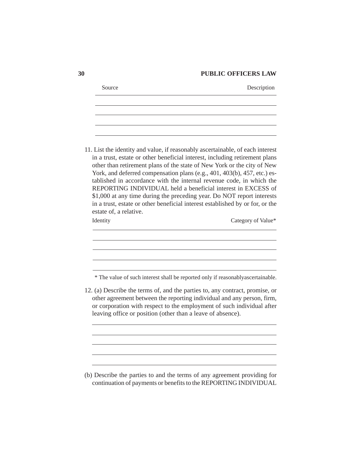| Source                                                                                                                                                                                                                                                                                                                                                                                                                                                                                                                                                                                                                  | Description        |
|-------------------------------------------------------------------------------------------------------------------------------------------------------------------------------------------------------------------------------------------------------------------------------------------------------------------------------------------------------------------------------------------------------------------------------------------------------------------------------------------------------------------------------------------------------------------------------------------------------------------------|--------------------|
|                                                                                                                                                                                                                                                                                                                                                                                                                                                                                                                                                                                                                         |                    |
|                                                                                                                                                                                                                                                                                                                                                                                                                                                                                                                                                                                                                         |                    |
| 11. List the identity and value, if reasonably ascertainable, of each interest<br>in a trust, estate or other beneficial interest, including retirement plans<br>other than retirement plans of the state of New York or the city of New<br>York, and deferred compensation plans (e.g., 401, 403(b), 457, etc.) es-<br>tablished in accordance with the internal revenue code, in which the<br>REPORTING INDIVIDUAL held a beneficial interest in EXCESS of<br>\$1,000 at any time during the preceding year. Do NOT report interests<br>in a trust, estate or other beneficial interest established by or for, or the |                    |
| estate of, a relative.<br>Identity                                                                                                                                                                                                                                                                                                                                                                                                                                                                                                                                                                                      | Category of Value* |
|                                                                                                                                                                                                                                                                                                                                                                                                                                                                                                                                                                                                                         |                    |
| * The value of such interest shall be reported only if reasonablyascertainable.                                                                                                                                                                                                                                                                                                                                                                                                                                                                                                                                         |                    |
| 12. (a) Describe the terms of, and the parties to, any contract, promise, or<br>other agreement between the reporting individual and any person, firm,<br>or corporation with respect to the employment of such individual after<br>leaving office or position (other than a leave of absence).                                                                                                                                                                                                                                                                                                                         |                    |
|                                                                                                                                                                                                                                                                                                                                                                                                                                                                                                                                                                                                                         |                    |
|                                                                                                                                                                                                                                                                                                                                                                                                                                                                                                                                                                                                                         |                    |
| (b) Describe the parties to and the terms of any agreement providing for<br>continuation of payments or benefits to the REPORTING INDIVIDUAL                                                                                                                                                                                                                                                                                                                                                                                                                                                                            |                    |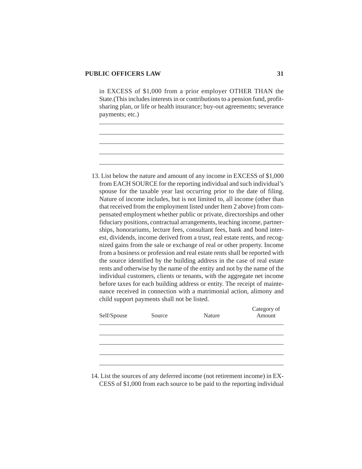in EXCESS of \$1,000 from a prior employer OTHER THAN the State.(This includes interests in or contributions to a pension fund, profitsharing plan, or life or health insurance; buy-out agreements; severance payments; etc.)

13. List below the nature and amount of any income in EXCESS of \$1,000 from EACH SOURCE for the reporting individual and such individual's spouse for the taxable year last occurring prior to the date of filing. Nature of income includes, but is not limited to, all income (other than that received from the employment listed under Item 2 above) from compensated employment whether public or private, directorships and other fiduciary positions, contractual arrangements, teaching income, partnerships, honorariums, lecture fees, consultant fees, bank and bond interest, dividends, income derived from a trust, real estate rents, and recognized gains from the sale or exchange of real or other property. Income from a business or profession and real estate rents shall be reported with the source identified by the building address in the case of real estate rents and otherwise by the name of the entity and not by the name of the individual customers, clients or tenants, with the aggregate net income before taxes for each building address or entity. The receipt of maintenance received in connection with a matrimonial action, alimony and child support payments shall not be listed.

| Self/Spouse | Source | Nature | Category of<br>Amount |
|-------------|--------|--------|-----------------------|
|             |        |        |                       |
|             |        |        |                       |
|             |        |        |                       |
|             |        |        |                       |

14. List the sources of any deferred income (not retirement income) in EX-CESS of \$1,000 from each source to be paid to the reporting individual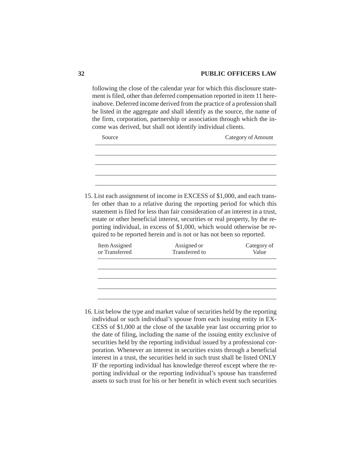following the close of the calendar year for which this disclosure statement is filed, other than deferred compensation reported in item 11 hereinabove. Deferred income derived from the practice of a profession shall be listed in the aggregate and shall identify as the source, the name of the firm, corporation, partnership or association through which the income was derived, but shall not identify individual clients.

| Source                          |                                                                                                                                                                                                                                                                                                                                                                                                                                                                         | Category of Amount   |
|---------------------------------|-------------------------------------------------------------------------------------------------------------------------------------------------------------------------------------------------------------------------------------------------------------------------------------------------------------------------------------------------------------------------------------------------------------------------------------------------------------------------|----------------------|
|                                 |                                                                                                                                                                                                                                                                                                                                                                                                                                                                         |                      |
|                                 |                                                                                                                                                                                                                                                                                                                                                                                                                                                                         |                      |
|                                 |                                                                                                                                                                                                                                                                                                                                                                                                                                                                         |                      |
|                                 |                                                                                                                                                                                                                                                                                                                                                                                                                                                                         |                      |
|                                 | 15. List each assignment of income in EXCESS of \$1,000, and each trans-<br>fer other than to a relative during the reporting period for which this<br>statement is filed for less than fair consideration of an interest in a trust,<br>estate or other beneficial interest, securities or real property, by the re-<br>porting individual, in excess of \$1,000, which would otherwise be re-<br>quired to be reported herein and is not or has not been so reported. |                      |
| Item Assigned<br>or Transferred | Assigned or<br>Transferred to                                                                                                                                                                                                                                                                                                                                                                                                                                           | Category of<br>Value |
|                                 |                                                                                                                                                                                                                                                                                                                                                                                                                                                                         |                      |
|                                 |                                                                                                                                                                                                                                                                                                                                                                                                                                                                         |                      |
|                                 |                                                                                                                                                                                                                                                                                                                                                                                                                                                                         |                      |
|                                 |                                                                                                                                                                                                                                                                                                                                                                                                                                                                         |                      |

16. List below the type and market value of securities held by the reporting individual or such individual's spouse from each issuing entity in EX-CESS of \$1,000 at the close of the taxable year last occurring prior to the date of filing, including the name of the issuing entity exclusive of securities held by the reporting individual issued by a professional corporation. Whenever an interest in securities exists through a beneficial interest in a trust, the securities held in such trust shall be listed ONLY IF the reporting individual has knowledge thereof except where the reporting individual or the reporting individual's spouse has transferred assets to such trust for his or her benefit in which event such securities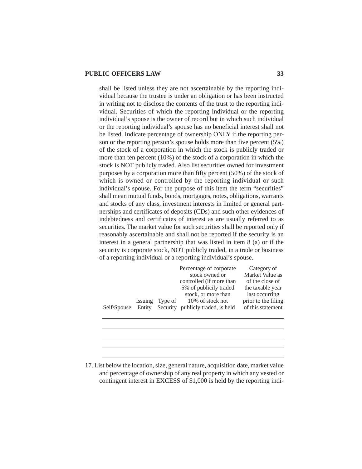shall be listed unless they are not ascertainable by the reporting individual because the trustee is under an obligation or has been instructed in writing not to disclose the contents of the trust to the reporting individual. Securities of which the reporting individual or the reporting individual's spouse is the owner of record but in which such individual or the reporting individual's spouse has no beneficial interest shall not be listed. Indicate percentage of ownership ONLY if the reporting person or the reporting person's spouse holds more than five percent (5%) of the stock of a corporation in which the stock is publicly traded or more than ten percent (10%) of the stock of a corporation in which the stock is NOT publicly traded. Also list securities owned for investment purposes by a corporation more than fifty percent (50%) of the stock of which is owned or controlled by the reporting individual or such individual's spouse. For the purpose of this item the term "securities" shall mean mutual funds, bonds, mortgages, notes, obligations, warrants and stocks of any class, investment interests in limited or general partnerships and certificates of deposits (CDs) and such other evidences of indebtedness and certificates of interest as are usually referred to as securities. The market value for such securities shall be reported only if reasonably ascertainable and shall not be reported if the security is an interest in a general partnership that was listed in item 8 (a) or if the security is corporate stock, NOT publicly traded, in a trade or business of a reporting individual or a reporting individual's spouse.

|             |         | Percentage of corporate                  | Category of         |
|-------------|---------|------------------------------------------|---------------------|
|             |         | stock owned or                           | Market Value as     |
|             |         | controlled (if more than                 | of the close of     |
|             |         | 5% of publicily traded                   | the taxable year    |
|             |         | stock, or more than                      | last occurring      |
|             | Issuing | Type of 10% of stock not                 | prior to the filing |
| Self/Spouse |         | Entity Security publicly traded, is held | of this statement   |
|             |         |                                          |                     |

17. List below the location, size, general nature, acquisition date, market value and percentage of ownership of any real property in which any vested or contingent interest in EXCESS of \$1,000 is held by the reporting indi-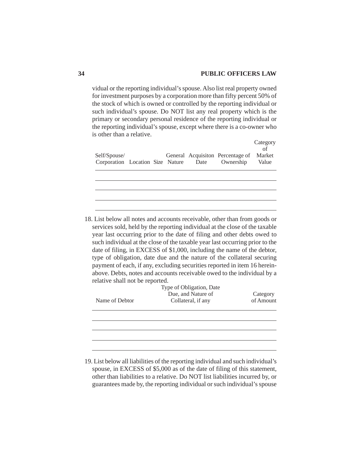vidual or the reporting individual's spouse. Also list real property owned for investment purposes by a corporation more than fifty percent 50% of the stock of which is owned or controlled by the reporting individual or such individual's spouse. Do NOT list any real property which is the primary or secondary personal residence of the reporting individual or the reporting individual's spouse, except where there is a co-owner who is other than a relative.

|                                       |  |  |                                         | Category<br>of |
|---------------------------------------|--|--|-----------------------------------------|----------------|
| Self/Spouse/                          |  |  | General Acquisiton Percentage of Market |                |
| Corporation Location Size Nature Date |  |  | Ownership                               | Value          |
|                                       |  |  |                                         |                |
|                                       |  |  |                                         |                |
|                                       |  |  |                                         |                |
|                                       |  |  |                                         |                |
|                                       |  |  |                                         |                |

18. List below all notes and accounts receivable, other than from goods or services sold, held by the reporting individual at the close of the taxable year last occurring prior to the date of filing and other debts owed to such individual at the close of the taxable year last occurring prior to the date of filing, in EXCESS of \$1,000, including the name of the debtor, type of obligation, date due and the nature of the collateral securing payment of each, if any, excluding securities reported in item 16 hereinabove. Debts, notes and accounts receivable owed to the individual by a relative shall not be reported.

| Name of Debtor | Type of Obligation, Date<br>Due, and Nature of<br>Collateral, if any | Category<br>of Amount |
|----------------|----------------------------------------------------------------------|-----------------------|
|                |                                                                      |                       |
|                |                                                                      |                       |
|                |                                                                      |                       |
|                |                                                                      |                       |

19. List below all liabilities of the reporting individual and such individual's spouse, in EXCESS of \$5,000 as of the date of filing of this statement, other than liabilities to a relative. Do NOT list liabilities incurred by, or guarantees made by, the reporting individual or such individual's spouse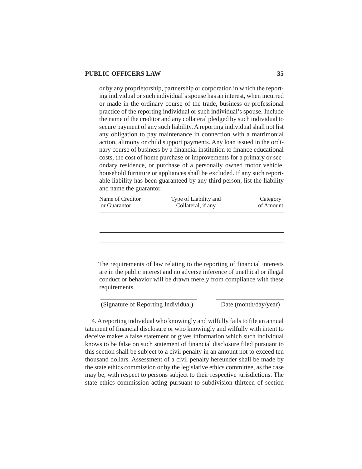or by any proprietorship, partnership or corporation in which the reporting individual or such individual's spouse has an interest, when incurred or made in the ordinary course of the trade, business or professional practice of the reporting individual or such individual's spouse. Include the name of the creditor and any collateral pledged by such individual to secure payment of any such liability. A reporting individual shall not list any obligation to pay maintenance in connection with a matrimonial action, alimony or child support payments. Any loan issued in the ordinary course of business by a financial institution to finance educational costs, the cost of home purchase or improvements for a primary or secondary residence, or purchase of a personally owned motor vehicle, household furniture or appliances shall be excluded. If any such reportable liability has been guaranteed by any third person, list the liability and name the guarantor.

| Name of Creditor<br>or Guarantor | Type of Liability and<br>Collateral, if any                                                                                                                                                                                    | Category<br>of Amount |
|----------------------------------|--------------------------------------------------------------------------------------------------------------------------------------------------------------------------------------------------------------------------------|-----------------------|
|                                  |                                                                                                                                                                                                                                |                       |
|                                  |                                                                                                                                                                                                                                |                       |
|                                  |                                                                                                                                                                                                                                |                       |
| requirements.                    | The requirements of law relating to the reporting of financial interests<br>are in the public interest and no adverse inference of unethical or illegal<br>conduct or behavior will be drawn merely from compliance with these |                       |

(Signature of Reporting Individual) Date (month/day/year)

4. A reporting individual who knowingly and wilfully fails to file an annual tatement of financial disclosure or who knowingly and wilfully with intent to deceive makes a false statement or gives information which such individual knows to be false on such statement of financial disclosure filed pursuant to this section shall be subject to a civil penalty in an amount not to exceed ten thousand dollars. Assessment of a civil penalty hereunder shall be made by the state ethics commission or by the legislative ethics committee, as the case may be, with respect to persons subject to their respective jurisdictions. The state ethics commission acting pursuant to subdivision thirteen of section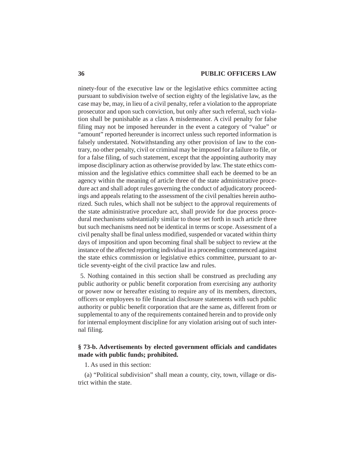ninety-four of the executive law or the legislative ethics committee acting pursuant to subdivision twelve of section eighty of the legislative law, as the case may be, may, in lieu of a civil penalty, refer a violation to the appropriate prosecutor and upon such conviction, but only after such referral, such violation shall be punishable as a class A misdemeanor. A civil penalty for false filing may not be imposed hereunder in the event a category of "value" or "amount" reported hereunder is incorrect unless such reported information is falsely understated. Notwithstanding any other provision of law to the contrary, no other penalty, civil or criminal may be imposed for a failure to file, or for a false filing, of such statement, except that the appointing authority may impose disciplinary action as otherwise provided by law. The state ethics commission and the legislative ethics committee shall each be deemed to be an agency within the meaning of article three of the state administrative procedure act and shall adopt rules governing the conduct of adjudicatory proceedings and appeals relating to the assessment of the civil penalties herein authorized. Such rules, which shall not be subject to the approval requirements of the state administrative procedure act, shall provide for due process procedural mechanisms substantially similar to those set forth in such article three but such mechanisms need not be identical in terms or scope. Assessment of a civil penalty shall be final unless modified, suspended or vacated within thirty days of imposition and upon becoming final shall be subject to review at the instance of the affected reporting individual in a proceeding commenced against the state ethics commission or legislative ethics committee, pursuant to article seventy-eight of the civil practice law and rules.

 5. Nothing contained in this section shall be construed as precluding any public authority or public benefit corporation from exercising any authority or power now or hereafter existing to require any of its members, directors, officers or employees to file financial disclosure statements with such public authority or public benefit corporation that are the same as, different from or supplemental to any of the requirements contained herein and to provide only for internal employment discipline for any violation arising out of such internal filing.

# **§ 73-b. Advertisements by elected government officials and candidates made with public funds; prohibited.**

1. As used in this section:

(a) "Political subdivision" shall mean a county, city, town, village or district within the state.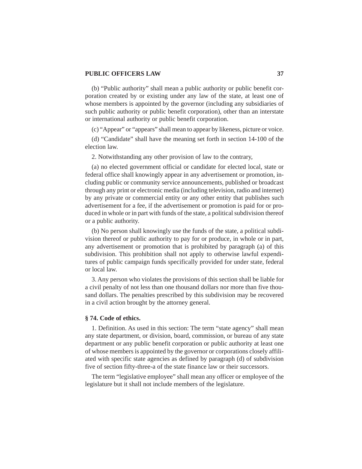(b) "Public authority" shall mean a public authority or public benefit corporation created by or existing under any law of the state, at least one of whose members is appointed by the governor (including any subsidiaries of such public authority or public benefit corporation), other than an interstate or international authority or public benefit corporation.

(c) "Appear" or "appears" shall mean to appear by likeness, picture or voice.

(d) "Candidate" shall have the meaning set forth in section 14-100 of the election law.

2. Notwithstanding any other provision of law to the contrary,

(a) no elected government official or candidate for elected local, state or federal office shall knowingly appear in any advertisement or promotion, including public or community service announcements, published or broadcast through any print or electronic media (including television, radio and internet) by any private or commercial entity or any other entity that publishes such advertisement for a fee, if the advertisement or promotion is paid for or produced in whole or in part with funds of the state, a political subdivision thereof or a public authority.

(b) No person shall knowingly use the funds of the state, a political subdivision thereof or public authority to pay for or produce, in whole or in part, any advertisement or promotion that is prohibited by paragraph (a) of this subdivision. This prohibition shall not apply to otherwise lawful expenditures of public campaign funds specifically provided for under state, federal or local law.

3. Any person who violates the provisions of this section shall be liable for a civil penalty of not less than one thousand dollars nor more than five thousand dollars. The penalties prescribed by this subdivision may be recovered in a civil action brought by the attorney general.

#### **§ 74. Code of ethics.**

1. Definition. As used in this section: The term "state agency" shall mean any state department, or division, board, commission, or bureau of any state department or any public benefit corporation or public authority at least one of whose members is appointed by the governor or corporations closely affiliated with specific state agencies as defined by paragraph (d) of subdivision five of section fifty-three-a of the state finance law or their successors.

The term "legislative employee" shall mean any officer or employee of the legislature but it shall not include members of the legislature.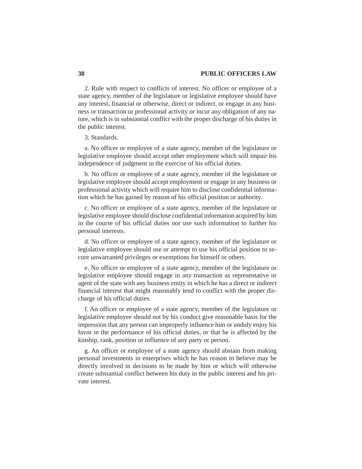2. Rule with respect to conflicts of interest. No officer or employee of a state agency, member of the legislature or legislative employee should have any interest, financial or otherwise, direct or indirect, or engage in any business or transaction or professional activity or incur any obligation of any nature, which is in substantial conflict with the proper discharge of his duties in the public interest.

#### 3. Standards.

a. No officer or employee of a state agency, member of the legislature or legislative employee should accept other employment which will impair his independence of judgment in the exercise of his official duties.

b. No officer or employee of a state agency, member of the legislature or legislative employee should accept employment or engage in any business or professional activity which will require him to disclose confidential information which he has gained by reason of his official position or authority.

c. No officer or employee of a state agency, member of the legislature or legislative employee should disclose confidential information acquired by him in the course of his official duties nor use such information to further his personal interests.

d. No officer or employee of a state agency, member of the legislature or legislative employee should use or attempt to use his official position to secure unwarranted privileges or exemptions for himself or others.

e. No officer or employee of a state agency, member of the legislature or legislative employee should engage in any transaction as representative or agent of the state with any business entity in which he has a direct or indirect financial interest that might reasonably tend to conflict with the proper discharge of his official duties.

f. An officer or employee of a state agency, member of the legislature or legislative employee should not by his conduct give reasonable basis for the impression that any person can improperly influence him or unduly enjoy his favor in the performance of his official duties, or that he is affected by the kinship, rank, position or influence of any party or person.

g. An officer or employee of a state agency should abstain from making personal investments in enterprises which he has reason to believe may be directly involved in decisions to be made by him or which will otherwise create substantial conflict between his duty in the public interest and his private interest.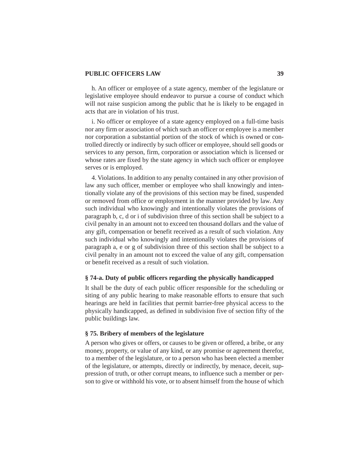h. An officer or employee of a state agency, member of the legislature or legislative employee should endeavor to pursue a course of conduct which will not raise suspicion among the public that he is likely to be engaged in acts that are in violation of his trust.

i. No officer or employee of a state agency employed on a full-time basis nor any firm or association of which such an officer or employee is a member nor corporation a substantial portion of the stock of which is owned or controlled directly or indirectly by such officer or employee, should sell goods or services to any person, firm, corporation or association which is licensed or whose rates are fixed by the state agency in which such officer or employee serves or is employed.

4. Violations. In addition to any penalty contained in any other provision of law any such officer, member or employee who shall knowingly and intentionally violate any of the provisions of this section may be fined, suspended or removed from office or employment in the manner provided by law. Any such individual who knowingly and intentionally violates the provisions of paragraph b, c, d or i of subdivision three of this section shall be subject to a civil penalty in an amount not to exceed ten thousand dollars and the value of any gift, compensation or benefit received as a result of such violation. Any such individual who knowingly and intentionally violates the provisions of paragraph a, e or g of subdivision three of this section shall be subject to a civil penalty in an amount not to exceed the value of any gift, compensation or benefit received as a result of such violation.

#### **§ 74-a. Duty of public officers regarding the physically handicapped**

It shall be the duty of each public officer responsible for the scheduling or siting of any public hearing to make reasonable efforts to ensure that such hearings are held in facilities that permit barrier-free physical access to the physically handicapped, as defined in subdivision five of section fifty of the public buildings law.

### **§ 75. Bribery of members of the legislature**

A person who gives or offers, or causes to be given or offered, a bribe, or any money, property, or value of any kind, or any promise or agreement therefor, to a member of the legislature, or to a person who has been elected a member of the legislature, or attempts, directly or indirectly, by menace, deceit, suppression of truth, or other corrupt means, to influence such a member or person to give or withhold his vote, or to absent himself from the house of which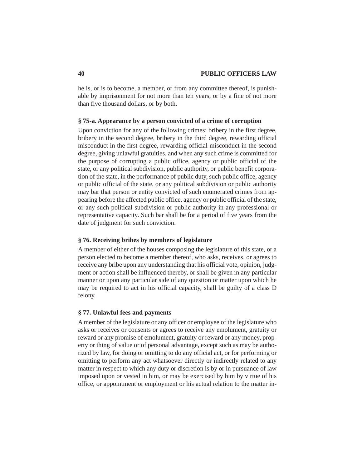he is, or is to become, a member, or from any committee thereof, is punishable by imprisonment for not more than ten years, or by a fine of not more than five thousand dollars, or by both.

### **§ 75-a. Appearance by a person convicted of a crime of corruption**

Upon conviction for any of the following crimes: bribery in the first degree, bribery in the second degree, bribery in the third degree, rewarding official misconduct in the first degree, rewarding official misconduct in the second degree, giving unlawful gratuities, and when any such crime is committed for the purpose of corrupting a public office, agency or public official of the state, or any political subdivision, public authority, or public benefit corporation of the state, in the performance of public duty, such public office, agency or public official of the state, or any political subdivision or public authority may bar that person or entity convicted of such enumerated crimes from appearing before the affected public office, agency or public official of the state, or any such political subdivision or public authority in any professional or representative capacity. Such bar shall be for a period of five years from the date of judgment for such conviction.

#### **§ 76. Receiving bribes by members of legislature**

A member of either of the houses composing the legislature of this state, or a person elected to become a member thereof, who asks, receives, or agrees to receive any bribe upon any understanding that his official vote, opinion, judgment or action shall be influenced thereby, or shall be given in any particular manner or upon any particular side of any question or matter upon which he may be required to act in his official capacity, shall be guilty of a class D felony.

#### **§ 77. Unlawful fees and payments**

A member of the legislature or any officer or employee of the legislature who asks or receives or consents or agrees to receive any emolument, gratuity or reward or any promise of emolument, gratuity or reward or any money, property or thing of value or of personal advantage, except such as may be authorized by law, for doing or omitting to do any official act, or for performing or omitting to perform any act whatsoever directly or indirectly related to any matter in respect to which any duty or discretion is by or in pursuance of law imposed upon or vested in him, or may be exercised by him by virtue of his office, or appointment or employment or his actual relation to the matter in-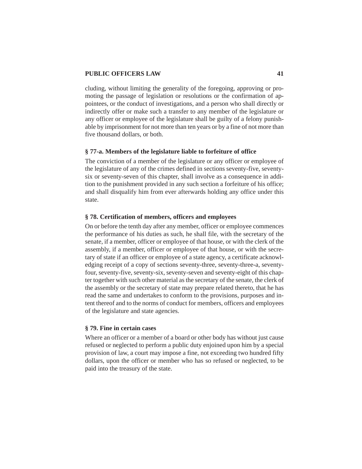cluding, without limiting the generality of the foregoing, approving or promoting the passage of legislation or resolutions or the confirmation of appointees, or the conduct of investigations, and a person who shall directly or indirectly offer or make such a transfer to any member of the legislature or any officer or employee of the legislature shall be guilty of a felony punishable by imprisonment for not more than ten years or by a fine of not more than five thousand dollars, or both.

#### **§ 77-a. Members of the legislature liable to forfeiture of office**

The conviction of a member of the legislature or any officer or employee of the legislature of any of the crimes defined in sections seventy-five, seventysix or seventy-seven of this chapter, shall involve as a consequence in addition to the punishment provided in any such section a forfeiture of his office; and shall disqualify him from ever afterwards holding any office under this state.

#### **§ 78. Certification of members, officers and employees**

On or before the tenth day after any member, officer or employee commences the performance of his duties as such, he shall file, with the secretary of the senate, if a member, officer or employee of that house, or with the clerk of the assembly, if a member, officer or employee of that house, or with the secretary of state if an officer or employee of a state agency, a certificate acknowledging receipt of a copy of sections seventy-three, seventy-three-a, seventyfour, seventy-five, seventy-six, seventy-seven and seventy-eight of this chapter together with such other material as the secretary of the senate, the clerk of the assembly or the secretary of state may prepare related thereto, that he has read the same and undertakes to conform to the provisions, purposes and intent thereof and to the norms of conduct for members, officers and employees of the legislature and state agencies.

#### **§ 79. Fine in certain cases**

Where an officer or a member of a board or other body has without just cause refused or neglected to perform a public duty enjoined upon him by a special provision of law, a court may impose a fine, not exceeding two hundred fifty dollars, upon the officer or member who has so refused or neglected, to be paid into the treasury of the state.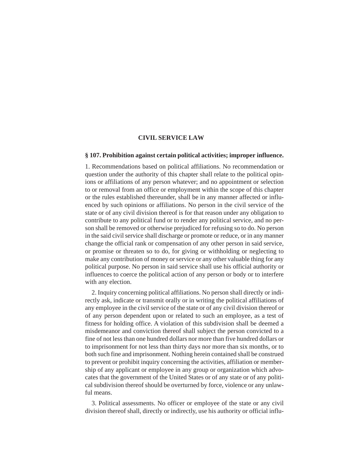#### **CIVIL SERVICE LAW**

#### **§ 107. Prohibition against certain political activities; improper influence.**

1. Recommendations based on political affiliations. No recommendation or question under the authority of this chapter shall relate to the political opinions or affiliations of any person whatever; and no appointment or selection to or removal from an office or employment within the scope of this chapter or the rules established thereunder, shall be in any manner affected or influenced by such opinions or affiliations. No person in the civil service of the state or of any civil division thereof is for that reason under any obligation to contribute to any political fund or to render any political service, and no person shall be removed or otherwise prejudiced for refusing so to do. No person in the said civil service shall discharge or promote or reduce, or in any manner change the official rank or compensation of any other person in said service, or promise or threaten so to do, for giving or withholding or neglecting to make any contribution of money or service or any other valuable thing for any political purpose. No person in said service shall use his official authority or influences to coerce the political action of any person or body or to interfere with any election.

2. Inquiry concerning political affiliations. No person shall directly or indirectly ask, indicate or transmit orally or in writing the political affiliations of any employee in the civil service of the state or of any civil division thereof or of any person dependent upon or related to such an employee, as a test of fitness for holding office. A violation of this subdivision shall be deemed a misdemeanor and conviction thereof shall subject the person convicted to a fine of not less than one hundred dollars nor more than five hundred dollars or to imprisonment for not less than thirty days nor more than six months, or to both such fine and imprisonment. Nothing herein contained shall be construed to prevent or prohibit inquiry concerning the activities, affiliation or membership of any applicant or employee in any group or organization which advocates that the government of the United States or of any state or of any political subdivision thereof should be overturned by force, violence or any unlawful means.

3. Political assessments. No officer or employee of the state or any civil division thereof shall, directly or indirectly, use his authority or official influ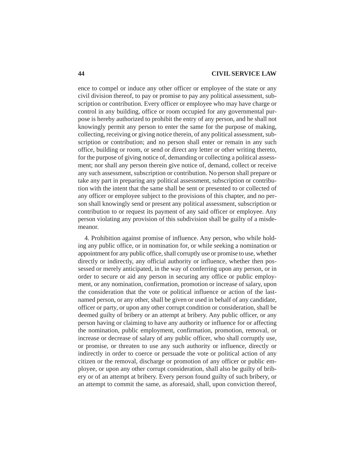ence to compel or induce any other officer or employee of the state or any civil division thereof, to pay or promise to pay any political assessment, subscription or contribution. Every officer or employee who may have charge or control in any building, office or room occupied for any governmental purpose is hereby authorized to prohibit the entry of any person, and he shall not knowingly permit any person to enter the same for the purpose of making, collecting, receiving or giving notice therein, of any political assessment, subscription or contribution; and no person shall enter or remain in any such office, building or room, or send or direct any letter or other writing thereto, for the purpose of giving notice of, demanding or collecting a political assessment; nor shall any person therein give notice of, demand, collect or receive any such assessment, subscription or contribution. No person shall prepare or take any part in preparing any political assessment, subscription or contribution with the intent that the same shall be sent or presented to or collected of any officer or employee subject to the provisions of this chapter, and no person shall knowingly send or present any political assessment, subscription or contribution to or request its payment of any said officer or employee. Any person violating any provision of this subdivision shall be guilty of a misdemeanor.

4. Prohibition against promise of influence. Any person, who while holding any public office, or in nomination for, or while seeking a nomination or appointment for any public office, shall corruptly use or promise to use, whether directly or indirectly, any official authority or influence, whether then possessed or merely anticipated, in the way of conferring upon any person, or in order to secure or aid any person in securing any office or public employment, or any nomination, confirmation, promotion or increase of salary, upon the consideration that the vote or political influence or action of the lastnamed person, or any other, shall be given or used in behalf of any candidate, officer or party, or upon any other corrupt condition or consideration, shall be deemed guilty of bribery or an attempt at bribery. Any public officer, or any person having or claiming to have any authority or influence for or affecting the nomination, public employment, confirmation, promotion, removal, or increase or decrease of salary of any public officer, who shall corruptly use, or promise, or threaten to use any such authority or influence, directly or indirectly in order to coerce or persuade the vote or political action of any citizen or the removal, discharge or promotion of any officer or public employee, or upon any other corrupt consideration, shall also be guilty of bribery or of an attempt at bribery. Every person found guilty of such bribery, or an attempt to commit the same, as aforesaid, shall, upon conviction thereof,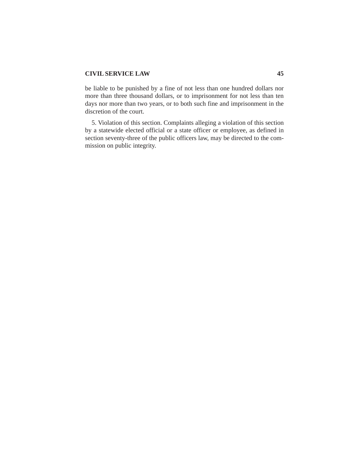#### **CIVIL SERVICE LAW 45**

be liable to be punished by a fine of not less than one hundred dollars nor more than three thousand dollars, or to imprisonment for not less than ten days nor more than two years, or to both such fine and imprisonment in the discretion of the court.

5. Violation of this section. Complaints alleging a violation of this section by a statewide elected official or a state officer or employee, as defined in section seventy-three of the public officers law, may be directed to the commission on public integrity.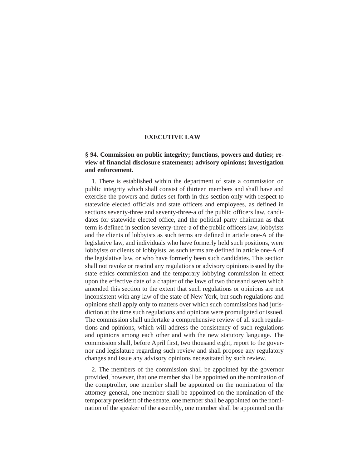# **§ 94. Commission on public integrity; functions, powers and duties; review of financial disclosure statements; advisory opinions; investigation and enforcement.**

1. There is established within the department of state a commission on public integrity which shall consist of thirteen members and shall have and exercise the powers and duties set forth in this section only with respect to statewide elected officials and state officers and employees, as defined in sections seventy-three and seventy-three-a of the public officers law, candidates for statewide elected office, and the political party chairman as that term is defined in section seventy-three-a of the public officers law, lobbyists and the clients of lobbyists as such terms are defined in article one-A of the legislative law, and individuals who have formerly held such positions, were lobbyists or clients of lobbyists, as such terms are defined in article one-A of the legislative law, or who have formerly been such candidates. This section shall not revoke or rescind any regulations or advisory opinions issued by the state ethics commission and the temporary lobbying commission in effect upon the effective date of a chapter of the laws of two thousand seven which amended this section to the extent that such regulations or opinions are not inconsistent with any law of the state of New York, but such regulations and opinions shall apply only to matters over which such commissions had jurisdiction at the time such regulations and opinions were promulgated or issued. The commission shall undertake a comprehensive review of all such regulations and opinions, which will address the consistency of such regulations and opinions among each other and with the new statutory language. The commission shall, before April first, two thousand eight, report to the governor and legislature regarding such review and shall propose any regulatory changes and issue any advisory opinions necessitated by such review.

2. The members of the commission shall be appointed by the governor provided, however, that one member shall be appointed on the nomination of the comptroller, one member shall be appointed on the nomination of the attorney general, one member shall be appointed on the nomination of the temporary president of the senate, one member shall be appointed on the nomination of the speaker of the assembly, one member shall be appointed on the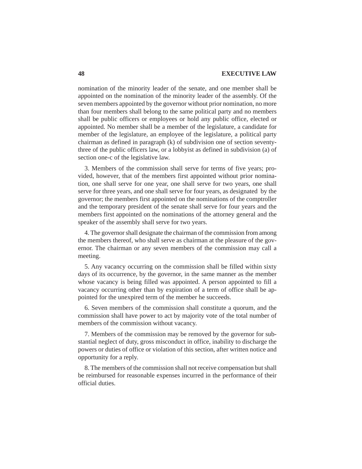nomination of the minority leader of the senate, and one member shall be appointed on the nomination of the minority leader of the assembly. Of the seven members appointed by the governor without prior nomination, no more than four members shall belong to the same political party and no members shall be public officers or employees or hold any public office, elected or appointed. No member shall be a member of the legislature, a candidate for member of the legislature, an employee of the legislature, a political party chairman as defined in paragraph (k) of subdivision one of section seventythree of the public officers law, or a lobbyist as defined in subdivision (a) of section one-c of the legislative law.

3. Members of the commission shall serve for terms of five years; provided, however, that of the members first appointed without prior nomination, one shall serve for one year, one shall serve for two years, one shall serve for three years, and one shall serve for four years, as designated by the governor; the members first appointed on the nominations of the comptroller and the temporary president of the senate shall serve for four years and the members first appointed on the nominations of the attorney general and the speaker of the assembly shall serve for two years.

4. The governor shall designate the chairman of the commission from among the members thereof, who shall serve as chairman at the pleasure of the governor. The chairman or any seven members of the commission may call a meeting.

5. Any vacancy occurring on the commission shall be filled within sixty days of its occurrence, by the governor, in the same manner as the member whose vacancy is being filled was appointed. A person appointed to fill a vacancy occurring other than by expiration of a term of office shall be appointed for the unexpired term of the member he succeeds.

6. Seven members of the commission shall constitute a quorum, and the commission shall have power to act by majority vote of the total number of members of the commission without vacancy.

7. Members of the commission may be removed by the governor for substantial neglect of duty, gross misconduct in office, inability to discharge the powers or duties of office or violation of this section, after written notice and opportunity for a reply.

8. The members of the commission shall not receive compensation but shall be reimbursed for reasonable expenses incurred in the performance of their official duties.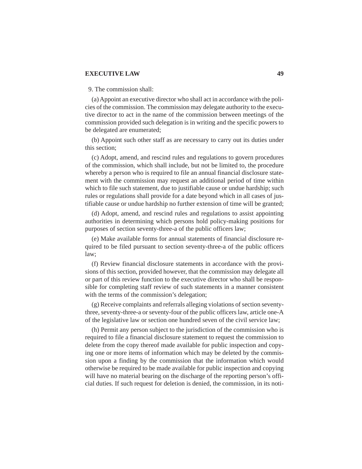### 9. The commission shall:

(a) Appoint an executive director who shall act in accordance with the policies of the commission. The commission may delegate authority to the executive director to act in the name of the commission between meetings of the commission provided such delegation is in writing and the specific powers to be delegated are enumerated;

(b) Appoint such other staff as are necessary to carry out its duties under this section;

(c) Adopt, amend, and rescind rules and regulations to govern procedures of the commission, which shall include, but not be limited to, the procedure whereby a person who is required to file an annual financial disclosure statement with the commission may request an additional period of time within which to file such statement, due to justifiable cause or undue hardship; such rules or regulations shall provide for a date beyond which in all cases of justifiable cause or undue hardship no further extension of time will be granted;

(d) Adopt, amend, and rescind rules and regulations to assist appointing authorities in determining which persons hold policy-making positions for purposes of section seventy-three-a of the public officers law;

(e) Make available forms for annual statements of financial disclosure required to be filed pursuant to section seventy-three-a of the public officers law;

(f) Review financial disclosure statements in accordance with the provisions of this section, provided however, that the commission may delegate all or part of this review function to the executive director who shall be responsible for completing staff review of such statements in a manner consistent with the terms of the commission's delegation;

(g) Receive complaints and referrals alleging violations of section seventythree, seventy-three-a or seventy-four of the public officers law, article one-A of the legislative law or section one hundred seven of the civil service law;

(h) Permit any person subject to the jurisdiction of the commission who is required to file a financial disclosure statement to request the commission to delete from the copy thereof made available for public inspection and copying one or more items of information which may be deleted by the commission upon a finding by the commission that the information which would otherwise be required to be made available for public inspection and copying will have no material bearing on the discharge of the reporting person's official duties. If such request for deletion is denied, the commission, in its noti-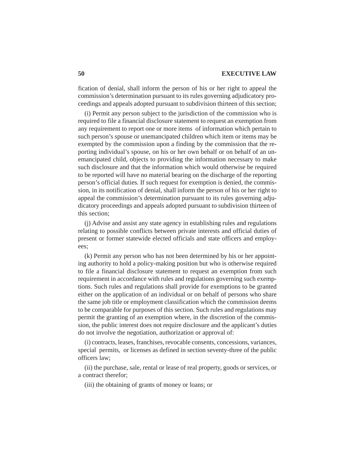fication of denial, shall inform the person of his or her right to appeal the commission's determination pursuant to its rules governing adjudicatory proceedings and appeals adopted pursuant to subdivision thirteen of this section;

(i) Permit any person subject to the jurisdiction of the commission who is required to file a financial disclosure statement to request an exemption from any requirement to report one or more items of information which pertain to such person's spouse or unemancipated children which item or items may be exempted by the commission upon a finding by the commission that the reporting individual's spouse, on his or her own behalf or on behalf of an unemancipated child, objects to providing the information necessary to make such disclosure and that the information which would otherwise be required to be reported will have no material bearing on the discharge of the reporting person's official duties. If such request for exemption is denied, the commission, in its notification of denial, shall inform the person of his or her right to appeal the commission's determination pursuant to its rules governing adjudicatory proceedings and appeals adopted pursuant to subdivision thirteen of this section;

(j) Advise and assist any state agency in establishing rules and regulations relating to possible conflicts between private interests and official duties of present or former statewide elected officials and state officers and employees;

(k) Permit any person who has not been determined by his or her appointing authority to hold a policy-making position but who is otherwise required to file a financial disclosure statement to request an exemption from such requirement in accordance with rules and regulations governing such exemptions. Such rules and regulations shall provide for exemptions to be granted either on the application of an individual or on behalf of persons who share the same job title or employment classification which the commission deems to be comparable for purposes of this section. Such rules and regulations may permit the granting of an exemption where, in the discretion of the commission, the public interest does not require disclosure and the applicant's duties do not involve the negotiation, authorization or approval of:

(i) contracts, leases, franchises, revocable consents, concessions, variances, special permits, or licenses as defined in section seventy-three of the public officers law;

(ii) the purchase, sale, rental or lease of real property, goods or services, or a contract therefor;

(iii) the obtaining of grants of money or loans; or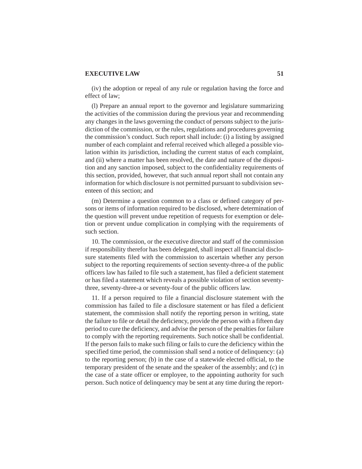(iv) the adoption or repeal of any rule or regulation having the force and effect of law;

(l) Prepare an annual report to the governor and legislature summarizing the activities of the commission during the previous year and recommending any changes in the laws governing the conduct of persons subject to the jurisdiction of the commission, or the rules, regulations and procedures governing the commission's conduct. Such report shall include: (i) a listing by assigned number of each complaint and referral received which alleged a possible violation within its jurisdiction, including the current status of each complaint, and (ii) where a matter has been resolved, the date and nature of the disposition and any sanction imposed, subject to the confidentiality requirements of this section, provided, however, that such annual report shall not contain any information for which disclosure is not permitted pursuant to subdivision seventeen of this section; and

(m) Determine a question common to a class or defined category of persons or items of information required to be disclosed, where determination of the question will prevent undue repetition of requests for exemption or deletion or prevent undue complication in complying with the requirements of such section.

10. The commission, or the executive director and staff of the commission if responsibility therefor has been delegated, shall inspect all financial disclosure statements filed with the commission to ascertain whether any person subject to the reporting requirements of section seventy-three-a of the public officers law has failed to file such a statement, has filed a deficient statement or has filed a statement which reveals a possible violation of section seventythree, seventy-three-a or seventy-four of the public officers law.

11. If a person required to file a financial disclosure statement with the commission has failed to file a disclosure statement or has filed a deficient statement, the commission shall notify the reporting person in writing, state the failure to file or detail the deficiency, provide the person with a fifteen day period to cure the deficiency, and advise the person of the penalties for failure to comply with the reporting requirements. Such notice shall be confidential. If the person fails to make such filing or fails to cure the deficiency within the specified time period, the commission shall send a notice of delinquency: (a) to the reporting person; (b) in the case of a statewide elected official, to the temporary president of the senate and the speaker of the assembly; and (c) in the case of a state officer or employee, to the appointing authority for such person. Such notice of delinquency may be sent at any time during the report-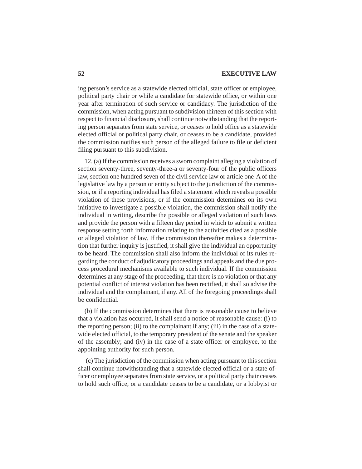ing person's service as a statewide elected official, state officer or employee, political party chair or while a candidate for statewide office, or within one year after termination of such service or candidacy. The jurisdiction of the commission, when acting pursuant to subdivision thirteen of this section with respect to financial disclosure, shall continue notwithstanding that the reporting person separates from state service, or ceases to hold office as a statewide elected official or political party chair, or ceases to be a candidate, provided the commission notifies such person of the alleged failure to file or deficient filing pursuant to this subdivision.

12. (a) If the commission receives a sworn complaint alleging a violation of section seventy-three, seventy-three-a or seventy-four of the public officers law, section one hundred seven of the civil service law or article one-A of the legislative law by a person or entity subject to the jurisdiction of the commission, or if a reporting individual has filed a statement which reveals a possible violation of these provisions, or if the commission determines on its own initiative to investigate a possible violation, the commission shall notify the individual in writing, describe the possible or alleged violation of such laws and provide the person with a fifteen day period in which to submit a written response setting forth information relating to the activities cited as a possible or alleged violation of law. If the commission thereafter makes a determination that further inquiry is justified, it shall give the individual an opportunity to be heard. The commission shall also inform the individual of its rules regarding the conduct of adjudicatory proceedings and appeals and the due process procedural mechanisms available to such individual. If the commission determines at any stage of the proceeding, that there is no violation or that any potential conflict of interest violation has been rectified, it shall so advise the individual and the complainant, if any. All of the foregoing proceedings shall be confidential.

(b) If the commission determines that there is reasonable cause to believe that a violation has occurred, it shall send a notice of reasonable cause: (i) to the reporting person; (ii) to the complainant if any; (iii) in the case of a statewide elected official, to the temporary president of the senate and the speaker of the assembly; and (iv) in the case of a state officer or employee, to the appointing authority for such person.

 (c) The jurisdiction of the commission when acting pursuant to this section shall continue notwithstanding that a statewide elected official or a state officer or employee separates from state service, or a political party chair ceases to hold such office, or a candidate ceases to be a candidate, or a lobbyist or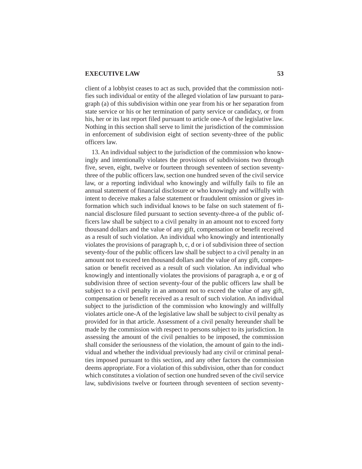client of a lobbyist ceases to act as such, provided that the commission notifies such individual or entity of the alleged violation of law pursuant to paragraph (a) of this subdivision within one year from his or her separation from state service or his or her termination of party service or candidacy, or from his, her or its last report filed pursuant to article one-A of the legislative law. Nothing in this section shall serve to limit the jurisdiction of the commission in enforcement of subdivision eight of section seventy-three of the public officers law.

13. An individual subject to the jurisdiction of the commission who knowingly and intentionally violates the provisions of subdivisions two through five, seven, eight, twelve or fourteen through seventeen of section seventythree of the public officers law, section one hundred seven of the civil service law, or a reporting individual who knowingly and wilfully fails to file an annual statement of financial disclosure or who knowingly and wilfully with intent to deceive makes a false statement or fraudulent omission or gives information which such individual knows to be false on such statement of financial disclosure filed pursuant to section seventy-three-a of the public officers law shall be subject to a civil penalty in an amount not to exceed forty thousand dollars and the value of any gift, compensation or benefit received as a result of such violation. An individual who knowingly and intentionally violates the provisions of paragraph b, c, d or i of subdivision three of section seventy-four of the public officers law shall be subject to a civil penalty in an amount not to exceed ten thousand dollars and the value of any gift, compensation or benefit received as a result of such violation. An individual who knowingly and intentionally violates the provisions of paragraph a, e or g of subdivision three of section seventy-four of the public officers law shall be subject to a civil penalty in an amount not to exceed the value of any gift, compensation or benefit received as a result of such violation. An individual subject to the jurisdiction of the commission who knowingly and willfully violates article one-A of the legislative law shall be subject to civil penalty as provided for in that article. Assessment of a civil penalty hereunder shall be made by the commission with respect to persons subject to its jurisdiction. In assessing the amount of the civil penalties to be imposed, the commission shall consider the seriousness of the violation, the amount of gain to the individual and whether the individual previously had any civil or criminal penalties imposed pursuant to this section, and any other factors the commission deems appropriate. For a violation of this subdivision, other than for conduct which constitutes a violation of section one hundred seven of the civil service law, subdivisions twelve or fourteen through seventeen of section seventy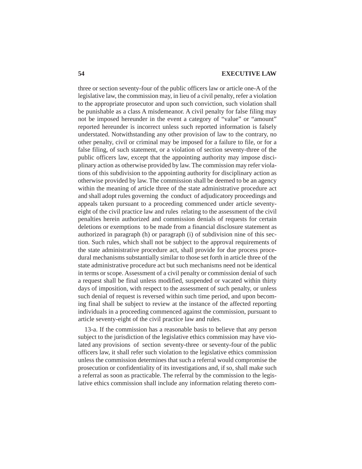three or section seventy-four of the public officers law or article one-A of the legislative law, the commission may, in lieu of a civil penalty, refer a violation to the appropriate prosecutor and upon such conviction, such violation shall be punishable as a class A misdemeanor. A civil penalty for false filing may not be imposed hereunder in the event a category of "value" or "amount" reported hereunder is incorrect unless such reported information is falsely understated. Notwithstanding any other provision of law to the contrary, no other penalty, civil or criminal may be imposed for a failure to file, or for a false filing, of such statement, or a violation of section seventy-three of the public officers law, except that the appointing authority may impose disciplinary action as otherwise provided by law. The commission may refer violations of this subdivision to the appointing authority for disciplinary action as otherwise provided by law. The commission shall be deemed to be an agency within the meaning of article three of the state administrative procedure act and shall adopt rules governing the conduct of adjudicatory proceedings and appeals taken pursuant to a proceeding commenced under article seventyeight of the civil practice law and rules relating to the assessment of the civil penalties herein authorized and commission denials of requests for certain deletions or exemptions to be made from a financial disclosure statement as authorized in paragraph (h) or paragraph (i) of subdivision nine of this section. Such rules, which shall not be subject to the approval requirements of the state administrative procedure act, shall provide for due process procedural mechanisms substantially similar to those set forth in article three of the state administrative procedure act but such mechanisms need not be identical in terms or scope. Assessment of a civil penalty or commission denial of such a request shall be final unless modified, suspended or vacated within thirty days of imposition, with respect to the assessment of such penalty, or unless such denial of request is reversed within such time period, and upon becoming final shall be subject to review at the instance of the affected reporting individuals in a proceeding commenced against the commission, pursuant to article seventy-eight of the civil practice law and rules.

13-a. If the commission has a reasonable basis to believe that any person subject to the jurisdiction of the legislative ethics commission may have violated any provisions of section seventy-three or seventy-four of the public officers law, it shall refer such violation to the legislative ethics commission unless the commission determines that such a referral would compromise the prosecution or confidentiality of its investigations and, if so, shall make such a referral as soon as practicable. The referral by the commission to the legislative ethics commission shall include any information relating thereto com-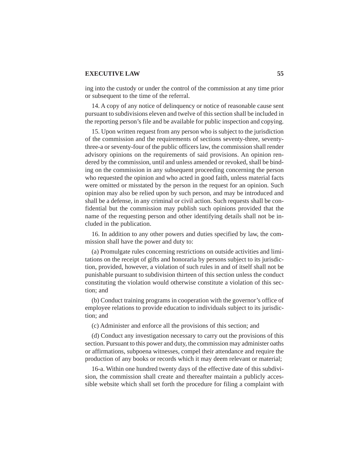ing into the custody or under the control of the commission at any time prior or subsequent to the time of the referral.

14. A copy of any notice of delinquency or notice of reasonable cause sent pursuant to subdivisions eleven and twelve of this section shall be included in the reporting person's file and be available for public inspection and copying.

15. Upon written request from any person who is subject to the jurisdiction of the commission and the requirements of sections seventy-three, seventythree-a or seventy-four of the public officers law, the commission shall render advisory opinions on the requirements of said provisions. An opinion rendered by the commission, until and unless amended or revoked, shall be binding on the commission in any subsequent proceeding concerning the person who requested the opinion and who acted in good faith, unless material facts were omitted or misstated by the person in the request for an opinion. Such opinion may also be relied upon by such person, and may be introduced and shall be a defense, in any criminal or civil action. Such requests shall be confidential but the commission may publish such opinions provided that the name of the requesting person and other identifying details shall not be included in the publication.

16. In addition to any other powers and duties specified by law, the commission shall have the power and duty to:

(a) Promulgate rules concerning restrictions on outside activities and limitations on the receipt of gifts and honoraria by persons subject to its jurisdiction, provided, however, a violation of such rules in and of itself shall not be punishable pursuant to subdivision thirteen of this section unless the conduct constituting the violation would otherwise constitute a violation of this section; and

(b) Conduct training programs in cooperation with the governor's office of employee relations to provide education to individuals subject to its jurisdiction; and

(c) Administer and enforce all the provisions of this section; and

(d) Conduct any investigation necessary to carry out the provisions of this section. Pursuant to this power and duty, the commission may administer oaths or affirmations, subpoena witnesses, compel their attendance and require the production of any books or records which it may deem relevant or material;

16-a. Within one hundred twenty days of the effective date of this subdivision, the commission shall create and thereafter maintain a publicly accessible website which shall set forth the procedure for filing a complaint with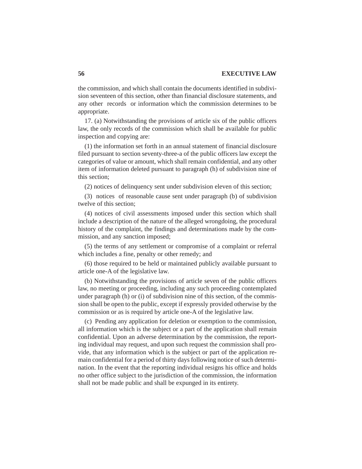the commission, and which shall contain the documents identified in subdivision seventeen of this section, other than financial disclosure statements, and any other records or information which the commission determines to be appropriate.

17. (a) Notwithstanding the provisions of article six of the public officers law, the only records of the commission which shall be available for public inspection and copying are:

(1) the information set forth in an annual statement of financial disclosure filed pursuant to section seventy-three-a of the public officers law except the categories of value or amount, which shall remain confidential, and any other item of information deleted pursuant to paragraph (h) of subdivision nine of this section;

(2) notices of delinquency sent under subdivision eleven of this section;

(3) notices of reasonable cause sent under paragraph (b) of subdivision twelve of this section;

(4) notices of civil assessments imposed under this section which shall include a description of the nature of the alleged wrongdoing, the procedural history of the complaint, the findings and determinations made by the commission, and any sanction imposed;

(5) the terms of any settlement or compromise of a complaint or referral which includes a fine, penalty or other remedy; and

(6) those required to be held or maintained publicly available pursuant to article one-A of the legislative law.

(b) Notwithstanding the provisions of article seven of the public officers law, no meeting or proceeding, including any such proceeding contemplated under paragraph (h) or (i) of subdivision nine of this section, of the commission shall be open to the public, except if expressly provided otherwise by the commission or as is required by article one-A of the legislative law.

(c) Pending any application for deletion or exemption to the commission, all information which is the subject or a part of the application shall remain confidential. Upon an adverse determination by the commission, the reporting individual may request, and upon such request the commission shall provide, that any information which is the subject or part of the application remain confidential for a period of thirty days following notice of such determination. In the event that the reporting individual resigns his office and holds no other office subject to the jurisdiction of the commission, the information shall not be made public and shall be expunged in its entirety.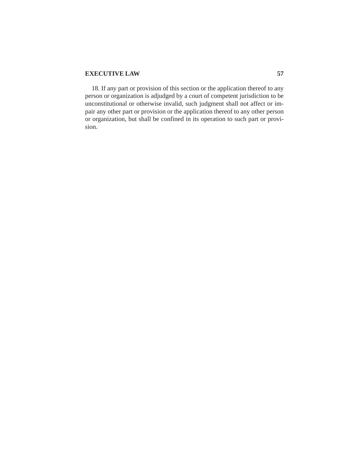18. If any part or provision of this section or the application thereof to any person or organization is adjudged by a court of competent jurisdiction to be unconstitutional or otherwise invalid, such judgment shall not affect or impair any other part or provision or the application thereof to any other person or organization, but shall be confined in its operation to such part or provision.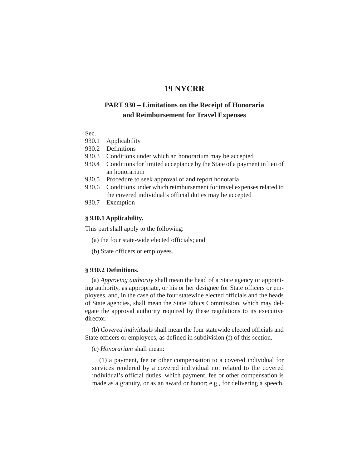# **19 NYCRR**

# **PART 930 – Limitations on the Receipt of Honoraria and Reimbursement for Travel Expenses**

### Sec.

- 930.1 Applicability
- 930.2 Definitions
- 930.3 Conditions under which an honorarium may be accepted
- 930.4 Conditions for limited acceptance by the State of a payment in lieu of an honorarium
- 930.5 Procedure to seek approval of and report honoraria
- 930.6 Conditions under which reimbursement for travel expenses related to the covered individual's official duties may be accepted
- 930.7 Exemption

# **§ 930.1 Applicability.**

This part shall apply to the following:

- (a) the four state-wide elected officials; and
- (b) State officers or employees.

# **§ 930.2 Definitions.**

(a) *Approving authority* shall mean the head of a State agency or appointing authority, as appropriate, or his or her designee for State officers or employees, and, in the case of the four statewide elected officials and the heads of State agencies, shall mean the State Ethics Commission, which may delegate the approval authority required by these regulations to its executive director.

(b) *Covered individuals* shall mean the four statewide elected officials and State officers or employees, as defined in subdivision (f) of this section.

### (c) *Honorarium* shall mean:

(1) a payment, fee or other compensation to a covered individual for services rendered by a covered individual not related to the covered individual's official duties, which payment, fee or other compensation is made as a gratuity, or as an award or honor; e.g., for delivering a speech,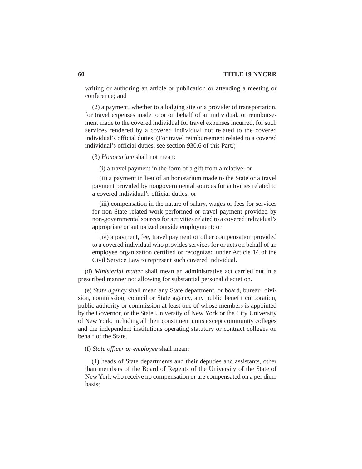writing or authoring an article or publication or attending a meeting or conference; and

(2) a payment, whether to a lodging site or a provider of transportation, for travel expenses made to or on behalf of an individual, or reimbursement made to the covered individual for travel expenses incurred, for such services rendered by a covered individual not related to the covered individual's official duties. (For travel reimbursement related to a covered individual's official duties, see section 930.6 of this Part.)

(3) *Honorarium* shall not mean:

(i) a travel payment in the form of a gift from a relative; or

(ii) a payment in lieu of an honorarium made to the State or a travel payment provided by nongovernmental sources for activities related to a covered individual's official duties; or

(iii) compensation in the nature of salary, wages or fees for services for non-State related work performed or travel payment provided by non-governmental sources for activities related to a covered individual's appropriate or authorized outside employment; or

(iv) a payment, fee, travel payment or other compensation provided to a covered individual who provides services for or acts on behalf of an employee organization certified or recognized under Article 14 of the Civil Service Law to represent such covered individual.

(d) *Ministerial matter* shall mean an administrative act carried out in a prescribed manner not allowing for substantial personal discretion.

(e) *State agency* shall mean any State department, or board, bureau, division, commission, council or State agency, any public benefit corporation, public authority or commission at least one of whose members is appointed by the Governor, or the State University of New York or the City University of New York, including all their constituent units except community colleges and the independent institutions operating statutory or contract colleges on behalf of the State.

(f) *State officer or employee* shall mean:

(1) heads of State departments and their deputies and assistants, other than members of the Board of Regents of the University of the State of New York who receive no compensation or are compensated on a per diem basis;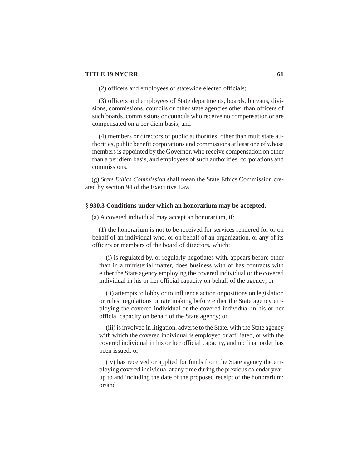(2) officers and employees of statewide elected officials;

(3) officers and employees of State departments, boards, bureaus, divisions, commissions, councils or other state agencies other than officers of such boards, commissions or councils who receive no compensation or are compensated on a per diem basis; and

(4) members or directors of public authorities, other than multistate authorities, public benefit corporations and commissions at least one of whose members is appointed by the Governor, who receive compensation on other than a per diem basis, and employees of such authorities, corporations and commissions.

(g) *State Ethics Commission* shall mean the State Ethics Commission created by section 94 of the Executive Law.

### **§ 930.3 Conditions under which an honorarium may be accepted.**

(a) A covered individual may accept an honorarium, if:

(1) the honorarium is not to be received for services rendered for or on behalf of an individual who, or on behalf of an organization, or any of its officers or members of the board of directors, which:

(i) is regulated by, or regularly negotiates with, appears before other than in a ministerial matter, does business with or has contracts with either the State agency employing the covered individual or the covered individual in his or her official capacity on behalf of the agency; or

(ii) attempts to lobby or to influence action or positions on legislation or rules, regulations or rate making before either the State agency employing the covered individual or the covered individual in his or her official capacity on behalf of the State agency; or

(iii) is involved in litigation, adverse to the State, with the State agency with which the covered individual is employed or affiliated, or with the covered individual in his or her official capacity, and no final order has been issued; or

(iv) has received or applied for funds from the State agency the employing covered individual at any time during the previous calendar year, up to and including the date of the proposed receipt of the honorarium; or/and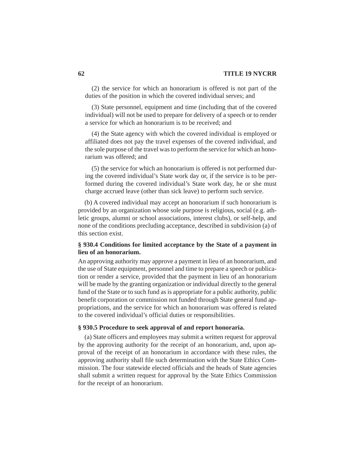(2) the service for which an honorarium is offered is not part of the duties of the position in which the covered individual serves; and

(3) State personnel, equipment and time (including that of the covered individual) will not be used to prepare for delivery of a speech or to render a service for which an honorarium is to be received; and

(4) the State agency with which the covered individual is employed or affiliated does not pay the travel expenses of the covered individual, and the sole purpose of the travel was to perform the service for which an honorarium was offered; and

(5) the service for which an honorarium is offered is not performed during the covered individual's State work day or, if the service is to be performed during the covered individual's State work day, he or she must charge accrued leave (other than sick leave) to perform such service.

(b) A covered individual may accept an honorarium if such honorarium is provided by an organization whose sole purpose is religious, social (e.g. athletic groups, alumni or school associations, interest clubs), or self-help, and none of the conditions precluding acceptance, described in subdivision (a) of this section exist.

## **§ 930.4 Conditions for limited acceptance by the State of a payment in lieu of an honorarium.**

An approving authority may approve a payment in lieu of an honorarium, and the use of State equipment, personnel and time to prepare a speech or publication or render a service, provided that the payment in lieu of an honorarium will be made by the granting organization or individual directly to the general fund of the State or to such fund as is appropriate for a public authority, public benefit corporation or commission not funded through State general fund appropriations, and the service for which an honorarium was offered is related to the covered individual's official duties or responsibilities.

### **§ 930.5 Procedure to seek approval of and report honoraria.**

(a) State officers and employees may submit a written request for approval by the approving authority for the receipt of an honorarium, and, upon approval of the receipt of an honorarium in accordance with these rules, the approving authority shall file such determination with the State Ethics Commission. The four statewide elected officials and the heads of State agencies shall submit a written request for approval by the State Ethics Commission for the receipt of an honorarium.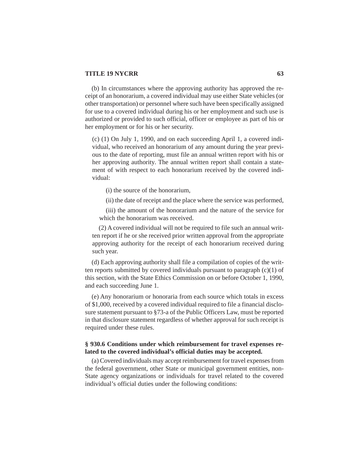(b) In circumstances where the approving authority has approved the receipt of an honorarium, a covered individual may use either State vehicles (or other transportation) or personnel where such have been specifically assigned for use to a covered individual during his or her employment and such use is authorized or provided to such official, officer or employee as part of his or her employment or for his or her security.

(c) (1) On July 1, 1990, and on each succeeding April 1, a covered individual, who received an honorarium of any amount during the year previous to the date of reporting, must file an annual written report with his or her approving authority. The annual written report shall contain a statement of with respect to each honorarium received by the covered individual:

(i) the source of the honorarium,

(ii) the date of receipt and the place where the service was performed,

(iii) the amount of the honorarium and the nature of the service for which the honorarium was received.

(2) A covered individual will not be required to file such an annual written report if he or she received prior written approval from the appropriate approving authority for the receipt of each honorarium received during such year.

(d) Each approving authority shall file a compilation of copies of the written reports submitted by covered individuals pursuant to paragraph (c)(1) of this section, with the State Ethics Commission on or before October 1, 1990, and each succeeding June 1.

(e) Any honorarium or honoraria from each source which totals in excess of \$1,000, received by a covered individual required to file a financial disclosure statement pursuant to §73-a of the Public Officers Law, must be reported in that disclosure statement regardless of whether approval for such receipt is required under these rules.

### **§ 930.6 Conditions under which reimbursement for travel expenses related to the covered individual's official duties may be accepted.**

(a) Covered individuals may accept reimbursement for travel expenses from the federal government, other State or municipal government entities, non-State agency organizations or individuals for travel related to the covered individual's official duties under the following conditions: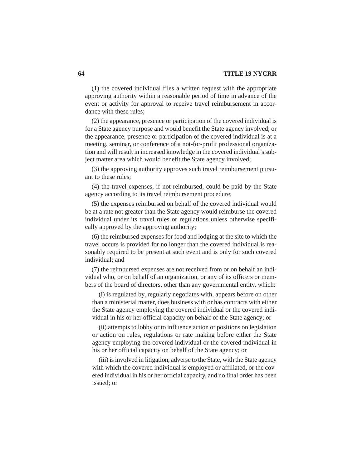(1) the covered individual files a written request with the appropriate approving authority within a reasonable period of time in advance of the event or activity for approval to receive travel reimbursement in accordance with these rules;

(2) the appearance, presence or participation of the covered individual is for a State agency purpose and would benefit the State agency involved; or the appearance, presence or participation of the covered individual is at a meeting, seminar, or conference of a not-for-profit professional organization and will result in increased knowledge in the covered individual's subject matter area which would benefit the State agency involved;

(3) the approving authority approves such travel reimbursement pursuant to these rules;

(4) the travel expenses, if not reimbursed, could be paid by the State agency according to its travel reimbursement procedure;

(5) the expenses reimbursed on behalf of the covered individual would be at a rate not greater than the State agency would reimburse the covered individual under its travel rules or regulations unless otherwise specifically approved by the approving authority;

(6) the reimbursed expenses for food and lodging at the site to which the travel occurs is provided for no longer than the covered individual is reasonably required to be present at such event and is only for such covered individual; and

(7) the reimbursed expenses are not received from or on behalf an individual who, or on behalf of an organization, or any of its officers or members of the board of directors, other than any governmental entity, which:

(i) is regulated by, regularly negotiates with, appears before on other than a ministerial matter, does business with or has contracts with either the State agency employing the covered individual or the covered individual in his or her official capacity on behalf of the State agency; or

(ii) attempts to lobby or to influence action or positions on legislation or action on rules, regulations or rate making before either the State agency employing the covered individual or the covered individual in his or her official capacity on behalf of the State agency; or

(iii) is involved in litigation, adverse to the State, with the State agency with which the covered individual is employed or affiliated, or the covered individual in his or her official capacity, and no final order has been issued; or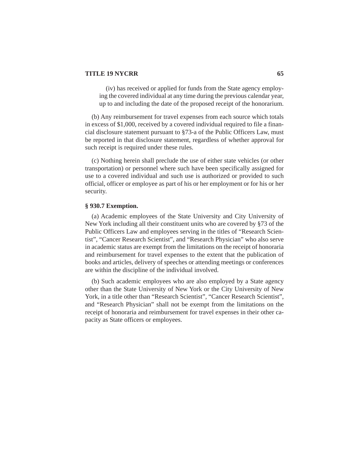(iv) has received or applied for funds from the State agency employing the covered individual at any time during the previous calendar year, up to and including the date of the proposed receipt of the honorarium.

(b) Any reimbursement for travel expenses from each source which totals in excess of \$1,000, received by a covered individual required to file a financial disclosure statement pursuant to §73-a of the Public Officers Law, must be reported in that disclosure statement, regardless of whether approval for such receipt is required under these rules.

(c) Nothing herein shall preclude the use of either state vehicles (or other transportation) or personnel where such have been specifically assigned for use to a covered individual and such use is authorized or provided to such official, officer or employee as part of his or her employment or for his or her security.

#### **§ 930.7 Exemption.**

(a) Academic employees of the State University and City University of New York including all their constituent units who are covered by §73 of the Public Officers Law and employees serving in the titles of "Research Scientist", "Cancer Research Scientist", and "Research Physician" who also serve in academic status are exempt from the limitations on the receipt of honoraria and reimbursement for travel expenses to the extent that the publication of books and articles, delivery of speeches or attending meetings or conferences are within the discipline of the individual involved.

(b) Such academic employees who are also employed by a State agency other than the State University of New York or the City University of New York, in a title other than "Research Scientist", "Cancer Research Scientist", and "Research Physician" shall not be exempt from the limitations on the receipt of honoraria and reimbursement for travel expenses in their other capacity as State officers or employees.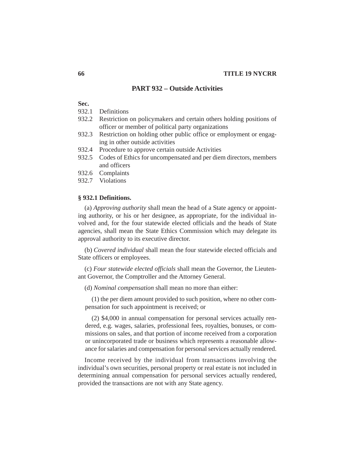### **PART 932 – Outside Activities**

#### **Sec.**

- 932.1 Definitions
- 932.2 Restriction on policymakers and certain others holding positions of officer or member of political party organizations
- 932.3 Restriction on holding other public office or employment or engaging in other outside activities
- 932.4 Procedure to approve certain outside Activities
- 932.5 Codes of Ethics for uncompensated and per diem directors, members and officers
- 932.6 Complaints
- 932.7 Violations

#### **§ 932.1 Definitions.**

(a) *Approving authority* shall mean the head of a State agency or appointing authority, or his or her designee, as appropriate, for the individual involved and, for the four statewide elected officials and the heads of State agencies, shall mean the State Ethics Commission which may delegate its approval authority to its executive director.

(b) *Covered individual* shall mean the four statewide elected officials and State officers or employees.

(c) *Four statewide elected officials* shall mean the Governor, the Lieutenant Governor, the Comptroller and the Attorney General.

(d) *Nominal compensation* shall mean no more than either:

(1) the per diem amount provided to such position, where no other compensation for such appointment is received; or

(2) \$4,000 in annual compensation for personal services actually rendered, e.g. wages, salaries, professional fees, royalties, bonuses, or commissions on sales, and that portion of income received from a corporation or unincorporated trade or business which represents a reasonable allowance for salaries and compensation for personal services actually rendered.

Income received by the individual from transactions involving the individual's own securities, personal property or real estate is not included in determining annual compensation for personal services actually rendered, provided the transactions are not with any State agency.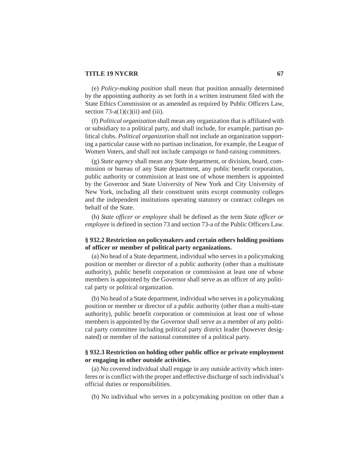(e) *Policy-making position* shall mean that position annually determined by the appointing authority as set forth in a written instrument filed with the State Ethics Commission or as amended as required by Public Officers Law, section  $73-a(1)(c)(ii)$  and (iii).

(f) *Political organization* shall mean any organization that is affiliated with or subsidiary to a political party, and shall include, for example, partisan political clubs. *Political organization* shall not include an organization supporting a particular cause with no partisan inclination, for example, the League of Women Voters, and shall not include campaign or fund-raising committees.

(g) *State agency* shall mean any State department, or division, board, commission or bureau of any State department, any public benefit corporation, public authority or commission at least one of whose members is appointed by the Governor and State University of New York and City University of New York, including all their constituent units except community colleges and the independent institutions operating statutory or contract colleges on behalf of the State.

(h) *State officer or employee* shall be defined as the term *State officer or employee* is defined in section 73 and section 73-a of the Public Officers Law.

### **§ 932.2 Restriction on policymakers and certain others holding positions of officer or member of political party organizations.**

(a) No head of a State department, individual who serves in a policymaking position or member or director of a public authority (other than a multistate authority), public benefit corporation or commission at least one of whose members is appointed by the Governor shall serve as an officer of any political party or political organization.

(b) No head of a State department, individual who serves in a policymaking position or member or director of a public authority (other than a multi-state authority), public benefit corporation or commission at least one of whose members is appointed by the Governor shall serve as a member of any political party committee including political party district leader (however designated) or member of the national committee of a political party.

# **§ 932.3 Restriction on holding other public office or private employment or engaging in other outside activities.**

(a) No covered individual shall engage in any outside activity which interferes or is conflict with the proper and effective discharge of such individual's official duties or responsibilities.

(b) No individual who serves in a policymaking position on other than a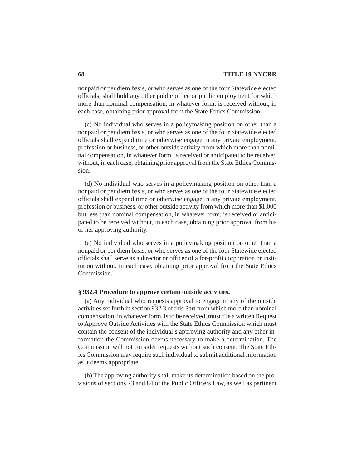nonpaid or per diem basis, or who serves as one of the four Statewide elected officials, shall hold any other public office or public employment for which more than nominal compensation, in whatever form, is received without, in each case, obtaining prior approval from the State Ethics Commission.

(c) No individual who serves in a policymaking position on other than a nonpaid or per diem basis, or who serves as one of the four Statewide elected officials shall expend time or otherwise engage in any private employment, profession or business, or other outside activity from which more than nominal compensation, in whatever form, is received or anticipated to be received without, in each case, obtaining prior approval from the State Ethics Commission.

(d) No individual who serves in a policymaking position on other than a nonpaid or per diem basis, or who serves as one of the four Statewide elected officials shall expend time or otherwise engage in any private employment, profession or business, or other outside activity from which more than \$1,000 but less than nominal compensation, in whatever form, is received or anticipated to be received without, in each case, obtaining prior approval from his or her approving authority.

(e) No individual who serves in a policymaking position on other than a nonpaid or per diem basis, or who serves as one of the four Statewide elected officials shall serve as a director or officer of a for-profit corporation or institution without, in each case, obtaining prior approval from the State Ethics Commission.

#### **§ 932.4 Procedure to approve certain outside activities.**

(a) Any individual who requests approval to engage in any of the outside activities set forth in section 932.3 of this Part from which more than nominal compensation, in whatever form, is to be received, must file a written Request to Approve Outside Activities with the State Ethics Commission which must contain the consent of the individual's approving authority and any other information the Commission deems necessary to make a determination. The Commission will not consider requests without such consent. The State Ethics Commission may require such individual to submit additional information as it deems appropriate.

(b) The approving authority shall make its determination based on the provisions of sections 73 and 84 of the Public Officers Law, as well as pertinent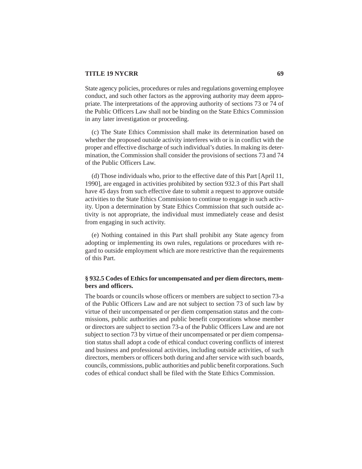#### **TITLE 19 NYCRR** 69

State agency policies, procedures or rules and regulations governing employee conduct, and such other factors as the approving authority may deem appropriate. The interpretations of the approving authority of sections 73 or 74 of the Public Officers Law shall not be binding on the State Ethics Commission in any later investigation or proceeding.

(c) The State Ethics Commission shall make its determination based on whether the proposed outside activity interferes with or is in conflict with the proper and effective discharge of such individual's duties. In making its determination, the Commission shall consider the provisions of sections 73 and 74 of the Public Officers Law.

(d) Those individuals who, prior to the effective date of this Part [April 11, 1990], are engaged in activities prohibited by section 932.3 of this Part shall have 45 days from such effective date to submit a request to approve outside activities to the State Ethics Commission to continue to engage in such activity. Upon a determination by State Ethics Commission that such outside activity is not appropriate, the individual must immediately cease and desist from engaging in such activity.

(e) Nothing contained in this Part shall prohibit any State agency from adopting or implementing its own rules, regulations or procedures with regard to outside employment which are more restrictive than the requirements of this Part.

# **§ 932.5 Codes of Ethics for uncompensated and per diem directors, members and officers.**

The boards or councils whose officers or members are subject to section 73-a of the Public Officers Law and are not subject to section 73 of such law by virtue of their uncompensated or per diem compensation status and the commissions, public authorities and public benefit corporations whose member or directors are subject to section 73-a of the Public Officers Law and are not subject to section 73 by virtue of their uncompensated or per diem compensation status shall adopt a code of ethical conduct covering conflicts of interest and business and professional activities, including outside activities, of such directors, members or officers both during and after service with such boards, councils, commissions, public authorities and public benefit corporations. Such codes of ethical conduct shall be filed with the State Ethics Commission.